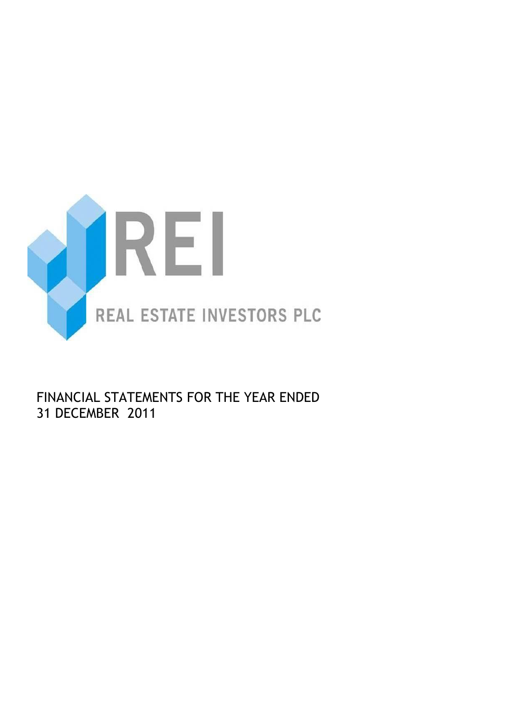

FINANCIAL STATEMENTS FOR THE YEAR ENDED 31 DECEMBER 2011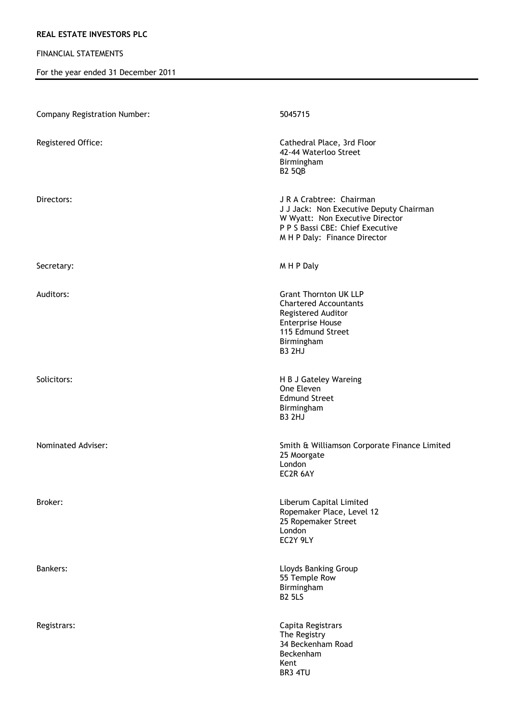# FINANCIAL STATEMENTS

For the year ended 31 December 2011

| <b>Company Registration Number:</b> | 5045715                                                                                                                                                                    |
|-------------------------------------|----------------------------------------------------------------------------------------------------------------------------------------------------------------------------|
| Registered Office:                  | Cathedral Place, 3rd Floor<br>42-44 Waterloo Street<br>Birmingham<br><b>B2 5QB</b>                                                                                         |
| Directors:                          | J R A Crabtree: Chairman<br>J J Jack: Non Executive Deputy Chairman<br>W Wyatt: Non Executive Director<br>P P S Bassi CBE: Chief Executive<br>M H P Daly: Finance Director |
| Secretary:                          | MHP Daly                                                                                                                                                                   |
| Auditors:                           | <b>Grant Thornton UK LLP</b><br><b>Chartered Accountants</b><br>Registered Auditor<br><b>Enterprise House</b><br>115 Edmund Street<br>Birmingham<br><b>B3 2HJ</b>          |
| Solicitors:                         | H B J Gateley Wareing<br>One Eleven<br><b>Edmund Street</b><br>Birmingham<br><b>B3 2HJ</b>                                                                                 |
| Nominated Adviser:                  | Smith & Williamson Corporate Finance Limited<br>25 Moorgate<br>London<br>EC2R 6AY                                                                                          |
| Broker:                             | Liberum Capital Limited<br>Ropemaker Place, Level 12<br>25 Ropemaker Street<br>London<br>EC2Y 9LY                                                                          |
| Bankers:                            | Lloyds Banking Group<br>55 Temple Row<br>Birmingham<br><b>B2 5LS</b>                                                                                                       |
| Registrars:                         | Capita Registrars<br>The Registry<br>34 Beckenham Road<br>Beckenham<br>Kent<br>BR3 4TU                                                                                     |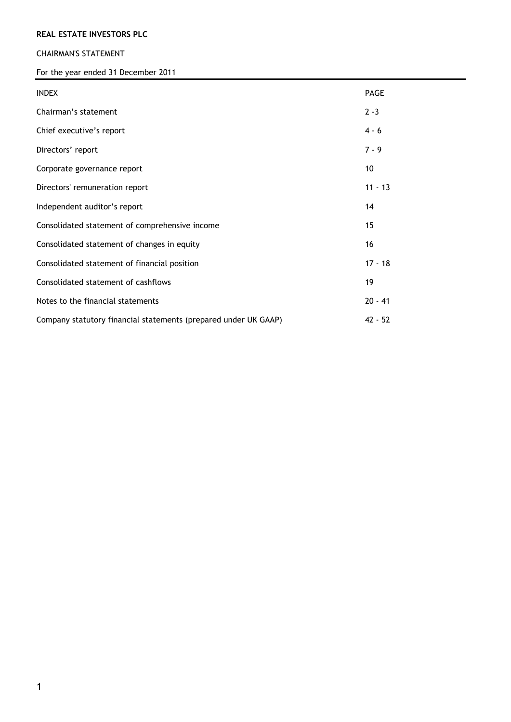# CHAIRMAN'S STATEMENT

For the year ended 31 December 2011

| <b>INDEX</b>                                                    | <b>PAGE</b> |
|-----------------------------------------------------------------|-------------|
| Chairman's statement                                            | $2 - 3$     |
| Chief executive's report                                        | $4 - 6$     |
| Directors' report                                               | $7 - 9$     |
| Corporate governance report                                     | 10          |
| Directors' remuneration report                                  | $11 - 13$   |
| Independent auditor's report                                    | 14          |
| Consolidated statement of comprehensive income                  | 15          |
| Consolidated statement of changes in equity                     | 16          |
| Consolidated statement of financial position                    | $17 - 18$   |
| Consolidated statement of cashflows                             | 19          |
| Notes to the financial statements                               | $20 - 41$   |
| Company statutory financial statements (prepared under UK GAAP) | $42 - 52$   |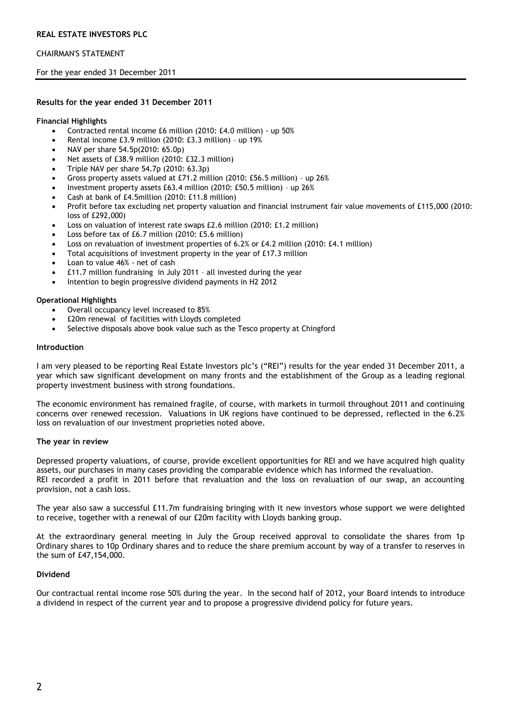# CHAIRMAN'S STATEMENT

For the year ended 31 December 2011

#### **Results for the year ended 31 December 2011**

#### **Financial Highlights**

- Contracted rental income £6 million (2010: £4.0 million) up 50%
- Rental income £3.9 million (2010: £3.3 million) up 19%
- NAV per share 54.5p(2010: 65.0p)
- Net assets of £38.9 million (2010: £32.3 million)
- Triple NAV per share 54.7p (2010: 63.3p)
- Gross property assets valued at £71.2 million (2010: £56.5 million) up 26%
- Investment property assets £63.4 million (2010: £50.5 million) up 26%
- Cash at bank of £4.5million (2010: £11.8 million)
- Profit before tax excluding net property valuation and financial instrument fair value movements of £115,000 (2010: loss of £292,000)
- Loss on valuation of interest rate swaps £2.6 million (2010: £1.2 million)
- Loss before tax of £6.7 million (2010: £5.6 million)
- Loss on revaluation of investment properties of 6.2% or £4.2 million (2010: £4.1 million)
- Total acquisitions of investment property in the year of £17.3 million
- Loan to value 46% net of cash
- £11.7 million fundraising in July 2011 all invested during the year
- Intention to begin progressive dividend payments in H2 2012

#### **Operational Highlights**

- Overall occupancy level increased to 85%
- £20m renewal of facilities with Lloyds completed
- Selective disposals above book value such as the Tesco property at Chingford

#### **Introduction**

I am very pleased to be reporting Real Estate Investors plc's ("REI") results for the year ended 31 December 2011, a year which saw significant development on many fronts and the establishment of the Group as a leading regional property investment business with strong foundations.

The economic environment has remained fragile, of course, with markets in turmoil throughout 2011 and continuing concerns over renewed recession. Valuations in UK regions have continued to be depressed, reflected in the 6.2% loss on revaluation of our investment proprieties noted above.

#### **The year in review**

Depressed property valuations, of course, provide excellent opportunities for REI and we have acquired high quality assets, our purchases in many cases providing the comparable evidence which has informed the revaluation. REI recorded a profit in 2011 before that revaluation and the loss on revaluation of our swap, an accounting provision, not a cash loss.

The year also saw a successful £11.7m fundraising bringing with it new investors whose support we were delighted to receive, together with a renewal of our £20m facility with Lloyds banking group.

At the extraordinary general meeting in July the Group received approval to consolidate the shares from 1p Ordinary shares to 10p Ordinary shares and to reduce the share premium account by way of a transfer to reserves in the sum of £47,154,000.

# **Dividend**

Our contractual rental income rose 50% during the year. In the second half of 2012, your Board intends to introduce a dividend in respect of the current year and to propose a progressive dividend policy for future years.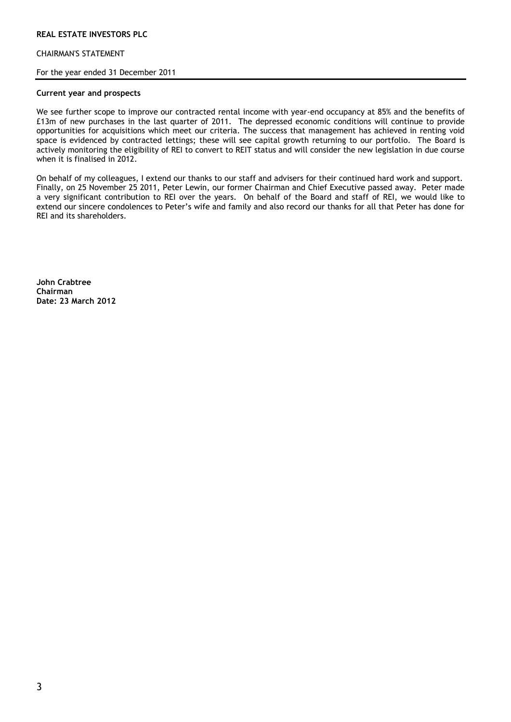# CHAIRMAN'S STATEMENT

# For the year ended 31 December 2011

# **Current year and prospects**

We see further scope to improve our contracted rental income with year-end occupancy at 85% and the benefits of £13m of new purchases in the last quarter of 2011. The depressed economic conditions will continue to provide opportunities for acquisitions which meet our criteria. The success that management has achieved in renting void space is evidenced by contracted lettings; these will see capital growth returning to our portfolio. The Board is actively monitoring the eligibility of REI to convert to REIT status and will consider the new legislation in due course when it is finalised in 2012.

On behalf of my colleagues, I extend our thanks to our staff and advisers for their continued hard work and support. Finally, on 25 November 25 2011, Peter Lewin, our former Chairman and Chief Executive passed away. Peter made a very significant contribution to REI over the years. On behalf of the Board and staff of REI, we would like to extend our sincere condolences to Peter's wife and family and also record our thanks for all that Peter has done for REI and its shareholders.

**John Crabtree Chairman Date: 23 March 2012**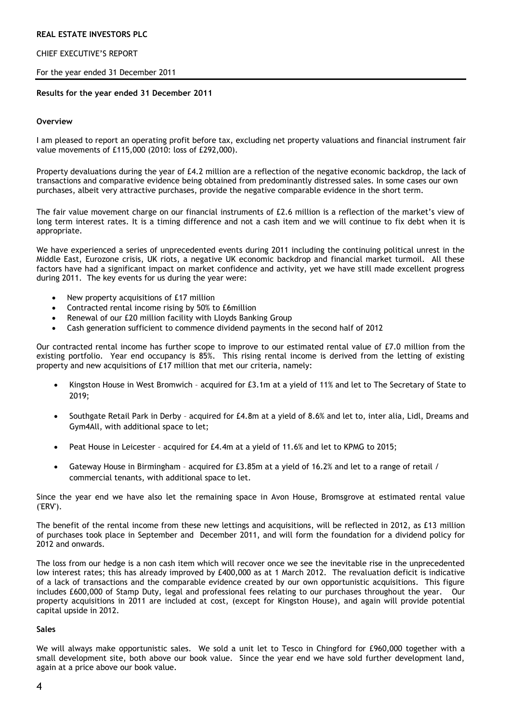#### CHIEF EXECUTIVE'S REPORT

#### For the year ended 31 December 2011

# **Results for the year ended 31 December 2011**

#### **Overview**

I am pleased to report an operating profit before tax, excluding net property valuations and financial instrument fair value movements of £115,000 (2010: loss of £292,000).

Property devaluations during the year of £4.2 million are a reflection of the negative economic backdrop, the lack of transactions and comparative evidence being obtained from predominantly distressed sales. In some cases our own purchases, albeit very attractive purchases, provide the negative comparable evidence in the short term.

The fair value movement charge on our financial instruments of £2.6 million is a reflection of the market's view of long term interest rates. It is a timing difference and not a cash item and we will continue to fix debt when it is appropriate.

We have experienced a series of unprecedented events during 2011 including the continuing political unrest in the Middle East, Eurozone crisis, UK riots, a negative UK economic backdrop and financial market turmoil. All these factors have had a significant impact on market confidence and activity, yet we have still made excellent progress during 2011. The key events for us during the year were:

- New property acquisitions of £17 million
- Contracted rental income rising by 50% to £6million
- Renewal of our £20 million facility with Lloyds Banking Group
- Cash generation sufficient to commence dividend payments in the second half of 2012

Our contracted rental income has further scope to improve to our estimated rental value of £7.0 million from the existing portfolio. Year end occupancy is 85%. This rising rental income is derived from the letting of existing property and new acquisitions of £17 million that met our criteria, namely:

- Kingston House in West Bromwich acquired for £3.1m at a yield of 11% and let to The Secretary of State to 2019;
- Southgate Retail Park in Derby acquired for £4.8m at a yield of 8.6% and let to, inter alia, Lidl, Dreams and Gym4All, with additional space to let;
- Peat House in Leicester acquired for £4.4m at a yield of 11.6% and let to KPMG to 2015;
- Gateway House in Birmingham acquired for £3.85m at a yield of 16.2% and let to a range of retail / commercial tenants, with additional space to let.

Since the year end we have also let the remaining space in Avon House, Bromsgrove at estimated rental value ('ERV').

The benefit of the rental income from these new lettings and acquisitions, will be reflected in 2012, as £13 million of purchases took place in September and December 2011, and will form the foundation for a dividend policy for 2012 and onwards.

The loss from our hedge is a non cash item which will recover once we see the inevitable rise in the unprecedented low interest rates; this has already improved by £400,000 as at 1 March 2012. The revaluation deficit is indicative of a lack of transactions and the comparable evidence created by our own opportunistic acquisitions. This figure includes £600,000 of Stamp Duty, legal and professional fees relating to our purchases throughout the year. Our property acquisitions in 2011 are included at cost, (except for Kingston House), and again will provide potential capital upside in 2012.

#### **Sales**

We will always make opportunistic sales. We sold a unit let to Tesco in Chingford for £960,000 together with a small development site, both above our book value. Since the year end we have sold further development land, again at a price above our book value.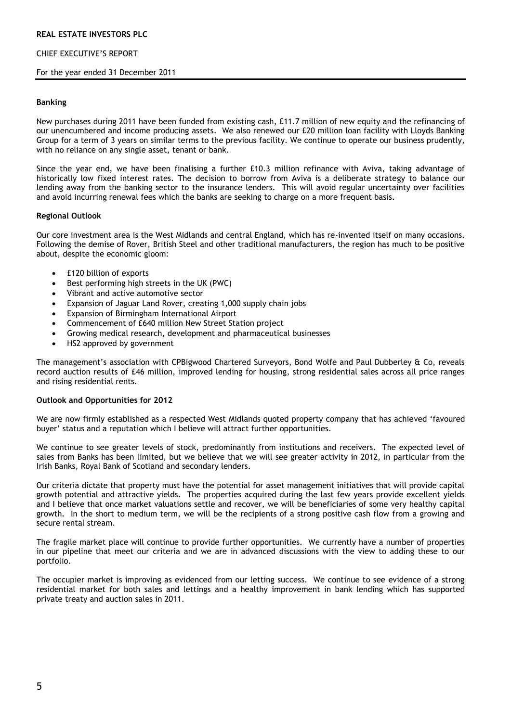#### CHIEF EXECUTIVE'S REPORT

# For the year ended 31 December 2011

#### **Banking**

New purchases during 2011 have been funded from existing cash, £11.7 million of new equity and the refinancing of our unencumbered and income producing assets. We also renewed our £20 million loan facility with Lloyds Banking Group for a term of 3 years on similar terms to the previous facility. We continue to operate our business prudently, with no reliance on any single asset, tenant or bank.

Since the year end, we have been finalising a further £10.3 million refinance with Aviva, taking advantage of historically low fixed interest rates. The decision to borrow from Aviva is a deliberate strategy to balance our lending away from the banking sector to the insurance lenders. This will avoid regular uncertainty over facilities and avoid incurring renewal fees which the banks are seeking to charge on a more frequent basis.

#### **Regional Outlook**

Our core investment area is the West Midlands and central England, which has re-invented itself on many occasions. Following the demise of Rover, British Steel and other traditional manufacturers, the region has much to be positive about, despite the economic gloom:

- £120 billion of exports
- Best performing high streets in the UK (PWC)
- Vibrant and active automotive sector
- Expansion of Jaguar Land Rover, creating 1,000 supply chain jobs
- Expansion of Birmingham International Airport
- Commencement of £640 million New Street Station project
- Growing medical research, development and pharmaceutical businesses
- HS2 approved by government

The management's association with CPBigwood Chartered Surveyors, Bond Wolfe and Paul Dubberley & Co, reveals record auction results of £46 million, improved lending for housing, strong residential sales across all price ranges and rising residential rents.

# **Outlook and Opportunities for 2012**

We are now firmly established as a respected West Midlands quoted property company that has achieved 'favoured buyer' status and a reputation which I believe will attract further opportunities.

We continue to see greater levels of stock, predominantly from institutions and receivers. The expected level of sales from Banks has been limited, but we believe that we will see greater activity in 2012, in particular from the Irish Banks, Royal Bank of Scotland and secondary lenders.

Our criteria dictate that property must have the potential for asset management initiatives that will provide capital growth potential and attractive yields. The properties acquired during the last few years provide excellent yields and I believe that once market valuations settle and recover, we will be beneficiaries of some very healthy capital growth. In the short to medium term, we will be the recipients of a strong positive cash flow from a growing and secure rental stream.

The fragile market place will continue to provide further opportunities. We currently have a number of properties in our pipeline that meet our criteria and we are in advanced discussions with the view to adding these to our portfolio.

The occupier market is improving as evidenced from our letting success. We continue to see evidence of a strong residential market for both sales and lettings and a healthy improvement in bank lending which has supported private treaty and auction sales in 2011.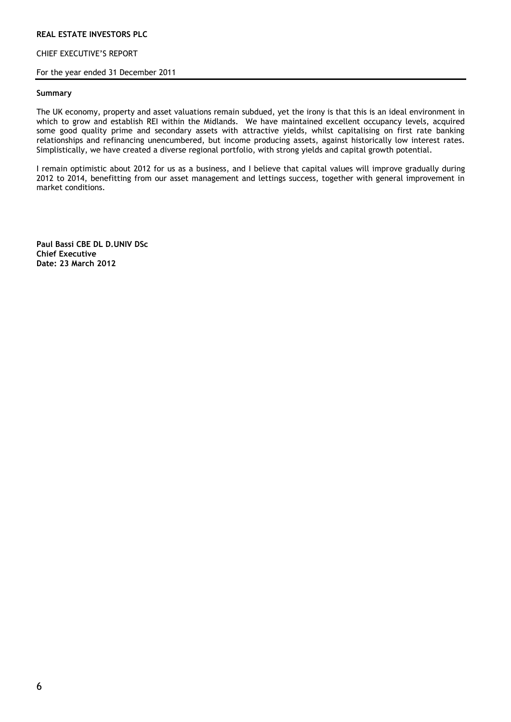CHIEF EXECUTIVE'S REPORT

For the year ended 31 December 2011

#### **Summary**

The UK economy, property and asset valuations remain subdued, yet the irony is that this is an ideal environment in which to grow and establish REI within the Midlands. We have maintained excellent occupancy levels, acquired some good quality prime and secondary assets with attractive yields, whilst capitalising on first rate banking relationships and refinancing unencumbered, but income producing assets, against historically low interest rates. Simplistically, we have created a diverse regional portfolio, with strong yields and capital growth potential.

I remain optimistic about 2012 for us as a business, and I believe that capital values will improve gradually during 2012 to 2014, benefitting from our asset management and lettings success, together with general improvement in market conditions.

**Paul Bassi CBE DL D.UNIV DSc Chief Executive Date: 23 March 2012**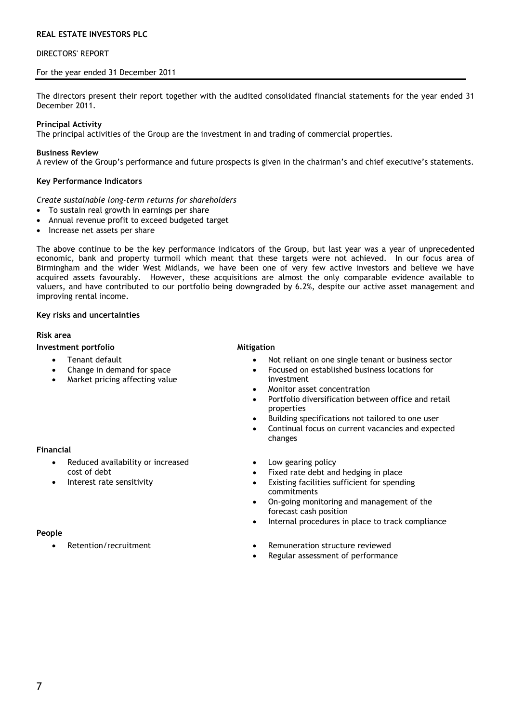#### DIRECTORS' REPORT

#### For the year ended 31 December 2011

The directors present their report together with the audited consolidated financial statements for the year ended 31 December 2011.

# **Principal Activity**

The principal activities of the Group are the investment in and trading of commercial properties.

#### **Business Review**

A review of the Group's performance and future prospects is given in the chairman's and chief executive's statements.

#### **Key Performance Indicators**

#### *Create sustainable long-term returns for shareholders*

- To sustain real growth in earnings per share
- Annual revenue profit to exceed budgeted target
- Increase net assets per share

The above continue to be the key performance indicators of the Group, but last year was a year of unprecedented economic, bank and property turmoil which meant that these targets were not achieved. In our focus area of Birmingham and the wider West Midlands, we have been one of very few active investors and believe we have acquired assets favourably. However, these acquisitions are almost the only comparable evidence available to valuers, and have contributed to our portfolio being downgraded by 6.2%, despite our active asset management and improving rental income.

# **Key risks and uncertainties**

# **Risk area**

# **Investment portfolio Mitigation**

Tenant default

# Change in demand for space

Market pricing affecting value

- Not reliant on one single tenant or business sector
- Focused on established business locations for investment
- Monitor asset concentration
- Portfolio diversification between office and retail properties
- Building specifications not tailored to one user
- Continual focus on current vacancies and expected changes
- Low gearing policy
- Fixed rate debt and hedging in place
- Existing facilities sufficient for spending commitments
- On-going monitoring and management of the forecast cash position
- Internal procedures in place to track compliance
- Retention/recruitment **Remuneration** structure reviewed
	- Regular assessment of performance

# **Financial**

- Reduced availability or increased cost of debt
- Interest rate sensitivity

# **People**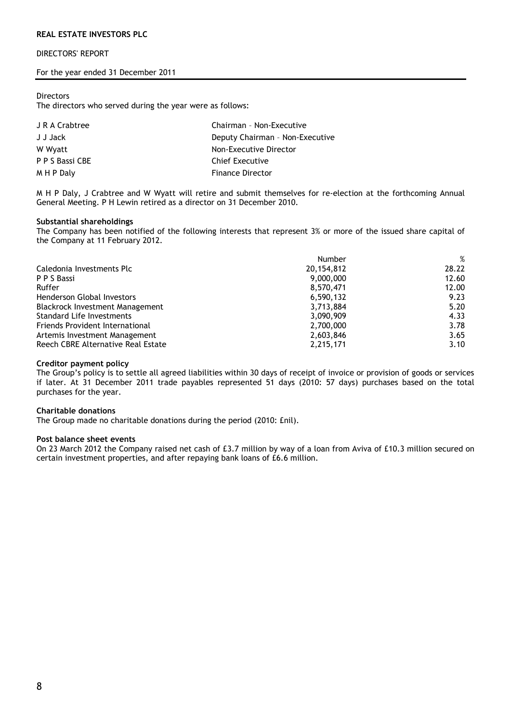# DIRECTORS' REPORT

# For the year ended 31 December 2011

#### Directors

The directors who served during the year were as follows:

| J R A Crabtree  | Chairman - Non-Executive        |
|-----------------|---------------------------------|
| J J Jack        | Deputy Chairman - Non-Executive |
| W Wyatt         | Non-Executive Director          |
| P P S Bassi CBE | <b>Chief Executive</b>          |
| M H P Daly      | <b>Finance Director</b>         |

M H P Daly, J Crabtree and W Wyatt will retire and submit themselves for re-election at the forthcoming Annual General Meeting. P H Lewin retired as a director on 31 December 2010.

#### **Substantial shareholdings**

The Company has been notified of the following interests that represent 3% or more of the issued share capital of the Company at 11 February 2012.

|                                        | Number       | %     |
|----------------------------------------|--------------|-------|
| Caledonia Investments Plc              | 20, 154, 812 | 28.22 |
| P P S Bassi                            | 9,000,000    | 12.60 |
| Ruffer                                 | 8,570,471    | 12.00 |
| <b>Henderson Global Investors</b>      | 6,590,132    | 9.23  |
| <b>Blackrock Investment Management</b> | 3,713,884    | 5.20  |
| <b>Standard Life Investments</b>       | 3,090,909    | 4.33  |
| <b>Friends Provident International</b> | 2,700,000    | 3.78  |
| Artemis Investment Management          | 2,603,846    | 3.65  |
| Reech CBRE Alternative Real Estate     | 2,215,171    | 3.10  |

#### **Creditor payment policy**

The Group's policy is to settle all agreed liabilities within 30 days of receipt of invoice or provision of goods or services if later. At 31 December 2011 trade payables represented 51 days (2010: 57 days) purchases based on the total purchases for the year.

# **Charitable donations**

The Group made no charitable donations during the period (2010: £nil).

#### **Post balance sheet events**

On 23 March 2012 the Company raised net cash of £3.7 million by way of a loan from Aviva of £10.3 million secured on certain investment properties, and after repaying bank loans of £6.6 million.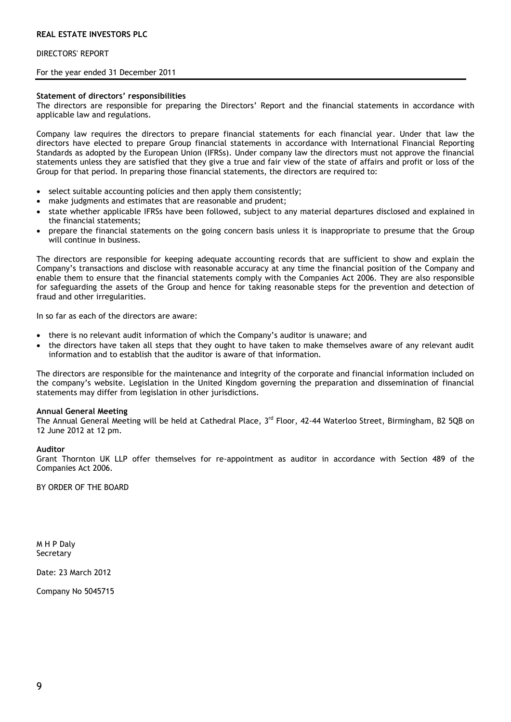#### DIRECTORS' REPORT

#### For the year ended 31 December 2011

#### **Statement of directors' responsibilities**

The directors are responsible for preparing the Directors' Report and the financial statements in accordance with applicable law and regulations.

Company law requires the directors to prepare financial statements for each financial year. Under that law the directors have elected to prepare Group financial statements in accordance with International Financial Reporting Standards as adopted by the European Union (IFRSs). Under company law the directors must not approve the financial statements unless they are satisfied that they give a true and fair view of the state of affairs and profit or loss of the Group for that period. In preparing those financial statements, the directors are required to:

- select suitable accounting policies and then apply them consistently;
- make judgments and estimates that are reasonable and prudent;
- state whether applicable IFRSs have been followed, subject to any material departures disclosed and explained in the financial statements;
- prepare the financial statements on the going concern basis unless it is inappropriate to presume that the Group will continue in business.

The directors are responsible for keeping adequate accounting records that are sufficient to show and explain the Company's transactions and disclose with reasonable accuracy at any time the financial position of the Company and enable them to ensure that the financial statements comply with the Companies Act 2006. They are also responsible for safeguarding the assets of the Group and hence for taking reasonable steps for the prevention and detection of fraud and other irregularities.

In so far as each of the directors are aware:

- there is no relevant audit information of which the Company's auditor is unaware; and
- the directors have taken all steps that they ought to have taken to make themselves aware of any relevant audit information and to establish that the auditor is aware of that information.

The directors are responsible for the maintenance and integrity of the corporate and financial information included on the company's website. Legislation in the United Kingdom governing the preparation and dissemination of financial statements may differ from legislation in other jurisdictions.

#### **Annual General Meeting**

The Annual General Meeting will be held at Cathedral Place, 3<sup>rd</sup> Floor, 42-44 Waterloo Street, Birmingham, B2 5QB on 12 June 2012 at 12 pm.

#### **Auditor**

Grant Thornton UK LLP offer themselves for re-appointment as auditor in accordance with Section 489 of the Companies Act 2006.

BY ORDER OF THE BOARD

M H P Daly Secretary

Date: 23 March 2012

Company No 5045715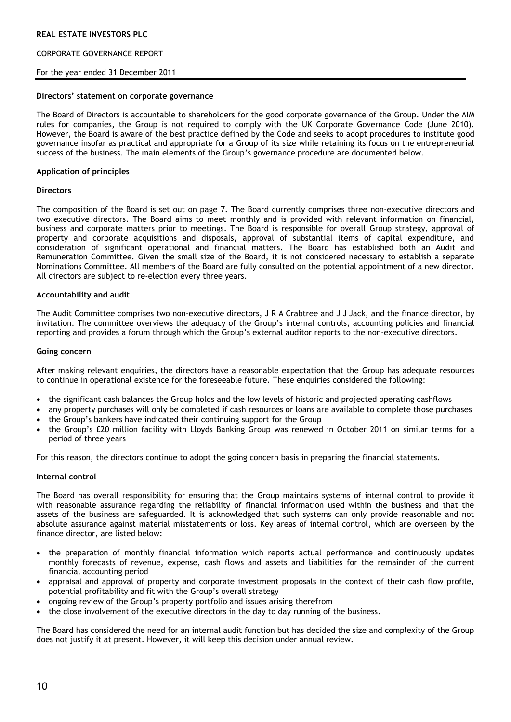# CORPORATE GOVERNANCE REPORT

#### For the year ended 31 December 2011

#### **Directors' statement on corporate governance**

The Board of Directors is accountable to shareholders for the good corporate governance of the Group. Under the AIM rules for companies, the Group is not required to comply with the UK Corporate Governance Code (June 2010). However, the Board is aware of the best practice defined by the Code and seeks to adopt procedures to institute good governance insofar as practical and appropriate for a Group of its size while retaining its focus on the entrepreneurial success of the business. The main elements of the Group's governance procedure are documented below.

#### **Application of principles**

#### **Directors**

The composition of the Board is set out on page 7. The Board currently comprises three non-executive directors and two executive directors. The Board aims to meet monthly and is provided with relevant information on financial, business and corporate matters prior to meetings. The Board is responsible for overall Group strategy, approval of property and corporate acquisitions and disposals, approval of substantial items of capital expenditure, and consideration of significant operational and financial matters. The Board has established both an Audit and Remuneration Committee. Given the small size of the Board, it is not considered necessary to establish a separate Nominations Committee. All members of the Board are fully consulted on the potential appointment of a new director. All directors are subject to re-election every three years.

#### **Accountability and audit**

The Audit Committee comprises two non-executive directors, J R A Crabtree and J J Jack, and the finance director, by invitation. The committee overviews the adequacy of the Group's internal controls, accounting policies and financial reporting and provides a forum through which the Group's external auditor reports to the non-executive directors.

#### **Going concern**

After making relevant enquiries, the directors have a reasonable expectation that the Group has adequate resources to continue in operational existence for the foreseeable future. These enquiries considered the following:

- the significant cash balances the Group holds and the low levels of historic and projected operating cashflows
- any property purchases will only be completed if cash resources or loans are available to complete those purchases
- the Group's bankers have indicated their continuing support for the Group
- the Group's £20 million facility with Lloyds Banking Group was renewed in October 2011 on similar terms for a period of three years

For this reason, the directors continue to adopt the going concern basis in preparing the financial statements.

#### **Internal control**

The Board has overall responsibility for ensuring that the Group maintains systems of internal control to provide it with reasonable assurance regarding the reliability of financial information used within the business and that the assets of the business are safeguarded. It is acknowledged that such systems can only provide reasonable and not absolute assurance against material misstatements or loss. Key areas of internal control, which are overseen by the finance director, are listed below:

- the preparation of monthly financial information which reports actual performance and continuously updates monthly forecasts of revenue, expense, cash flows and assets and liabilities for the remainder of the current financial accounting period
- appraisal and approval of property and corporate investment proposals in the context of their cash flow profile, potential profitability and fit with the Group's overall strategy
- ongoing review of the Group's property portfolio and issues arising therefrom
- the close involvement of the executive directors in the day to day running of the business.

The Board has considered the need for an internal audit function but has decided the size and complexity of the Group does not justify it at present. However, it will keep this decision under annual review.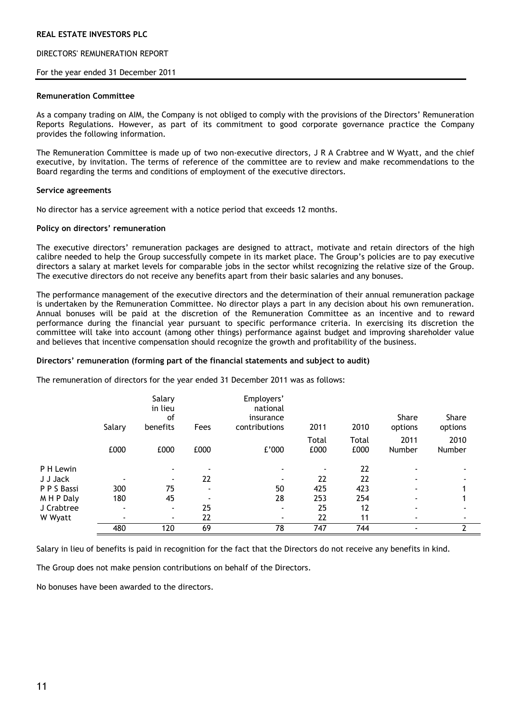# DIRECTORS' REMUNERATION REPORT

# For the year ended 31 December 2011

#### **Remuneration Committee**

As a company trading on AIM, the Company is not obliged to comply with the provisions of the Directors' Remuneration Reports Regulations. However, as part of its commitment to good corporate governance practice the Company provides the following information.

The Remuneration Committee is made up of two non-executive directors, J R A Crabtree and W Wyatt, and the chief executive, by invitation. The terms of reference of the committee are to review and make recommendations to the Board regarding the terms and conditions of employment of the executive directors.

#### **Service agreements**

No director has a service agreement with a notice period that exceeds 12 months.

#### **Policy on directors' remuneration**

The executive directors' remuneration packages are designed to attract, motivate and retain directors of the high calibre needed to help the Group successfully compete in its market place. The Group's policies are to pay executive directors a salary at market levels for comparable jobs in the sector whilst recognizing the relative size of the Group. The executive directors do not receive any benefits apart from their basic salaries and any bonuses.

The performance management of the executive directors and the determination of their annual remuneration package is undertaken by the Remuneration Committee. No director plays a part in any decision about his own remuneration. Annual bonuses will be paid at the discretion of the Remuneration Committee as an incentive and to reward performance during the financial year pursuant to specific performance criteria. In exercising its discretion the committee will take into account (among other things) performance against budget and improving shareholder value and believes that incentive compensation should recognize the growth and profitability of the business.

#### **Directors' remuneration (forming part of the financial statements and subject to audit)**

The remuneration of directors for the year ended 31 December 2011 was as follows:

|                       | Salary         | Salary<br>in lieu<br>οf<br>benefits | Fees | Employers'<br>national<br>insurance<br>contributions | 2011          | 2010          | Share<br>options                                     | Share<br>options |
|-----------------------|----------------|-------------------------------------|------|------------------------------------------------------|---------------|---------------|------------------------------------------------------|------------------|
|                       | £000           | £000                                | £000 | £'000                                                | Total<br>£000 | Total<br>£000 | 2011<br>Number                                       | 2010<br>Number   |
| P H Lewin<br>J J Jack |                | $\overline{\phantom{0}}$            | 22   |                                                      | 22            | 22<br>22      | $\overline{\phantom{0}}$<br>$\overline{\phantom{0}}$ |                  |
| P P S Bassi           | 300            | 75                                  |      | 50                                                   | 425           | 423           | ٠                                                    |                  |
| M H P Daly            | 180            | 45                                  |      | 28                                                   | 253           | 254           | ٠                                                    |                  |
| J Crabtree            | $\blacksquare$ | ٠                                   | 25   | $\blacksquare$                                       | 25            | 12            | ٠                                                    |                  |
| W Wyatt               | $\blacksquare$ | ٠                                   | 22   | $\overline{\phantom{a}}$                             | 22            | 11            | $\blacksquare$                                       |                  |
|                       | 480            | 120                                 | 69   | 78                                                   | 747           | 744           | $\blacksquare$                                       | 2                |

Salary in lieu of benefits is paid in recognition for the fact that the Directors do not receive any benefits in kind.

The Group does not make pension contributions on behalf of the Directors.

No bonuses have been awarded to the directors.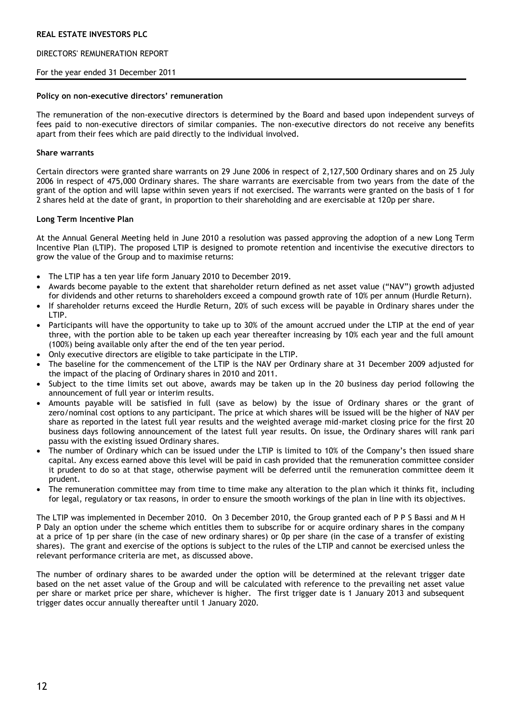# DIRECTORS' REMUNERATION REPORT

# For the year ended 31 December 2011

#### **Policy on non-executive directors' remuneration**

The remuneration of the non-executive directors is determined by the Board and based upon independent surveys of fees paid to non-executive directors of similar companies. The non-executive directors do not receive any benefits apart from their fees which are paid directly to the individual involved.

#### **Share warrants**

Certain directors were granted share warrants on 29 June 2006 in respect of 2,127,500 Ordinary shares and on 25 July 2006 in respect of 475,000 Ordinary shares. The share warrants are exercisable from two years from the date of the grant of the option and will lapse within seven years if not exercised. The warrants were granted on the basis of 1 for 2 shares held at the date of grant, in proportion to their shareholding and are exercisable at 120p per share.

#### **Long Term Incentive Plan**

At the Annual General Meeting held in June 2010 a resolution was passed approving the adoption of a new Long Term Incentive Plan (LTIP). The proposed LTIP is designed to promote retention and incentivise the executive directors to grow the value of the Group and to maximise returns:

- The LTIP has a ten year life form January 2010 to December 2019.
- Awards become payable to the extent that shareholder return defined as net asset value ("NAV") growth adjusted for dividends and other returns to shareholders exceed a compound growth rate of 10% per annum (Hurdle Return).
- If shareholder returns exceed the Hurdle Return, 20% of such excess will be payable in Ordinary shares under the LTIP.
- Participants will have the opportunity to take up to 30% of the amount accrued under the LTIP at the end of year three, with the portion able to be taken up each year thereafter increasing by 10% each year and the full amount (100%) being available only after the end of the ten year period.
- Only executive directors are eligible to take participate in the LTIP.
- The baseline for the commencement of the LTIP is the NAV per Ordinary share at 31 December 2009 adjusted for the impact of the placing of Ordinary shares in 2010 and 2011.
- Subject to the time limits set out above, awards may be taken up in the 20 business day period following the announcement of full year or interim results.
- Amounts payable will be satisfied in full (save as below) by the issue of Ordinary shares or the grant of zero/nominal cost options to any participant. The price at which shares will be issued will be the higher of NAV per share as reported in the latest full year results and the weighted average mid-market closing price for the first 20 business days following announcement of the latest full year results. On issue, the Ordinary shares will rank pari passu with the existing issued Ordinary shares.
- The number of Ordinary which can be issued under the LTIP is limited to 10% of the Company's then issued share capital. Any excess earned above this level will be paid in cash provided that the remuneration committee consider it prudent to do so at that stage, otherwise payment will be deferred until the remuneration committee deem it prudent.
- The remuneration committee may from time to time make any alteration to the plan which it thinks fit, including for legal, regulatory or tax reasons, in order to ensure the smooth workings of the plan in line with its objectives.

The LTIP was implemented in December 2010. On 3 December 2010, the Group granted each of P P S Bassi and M H P Daly an option under the scheme which entitles them to subscribe for or acquire ordinary shares in the company at a price of 1p per share (in the case of new ordinary shares) or 0p per share (in the case of a transfer of existing shares). The grant and exercise of the options is subject to the rules of the LTIP and cannot be exercised unless the relevant performance criteria are met, as discussed above.

The number of ordinary shares to be awarded under the option will be determined at the relevant trigger date based on the net asset value of the Group and will be calculated with reference to the prevailing net asset value per share or market price per share, whichever is higher. The first trigger date is 1 January 2013 and subsequent trigger dates occur annually thereafter until 1 January 2020.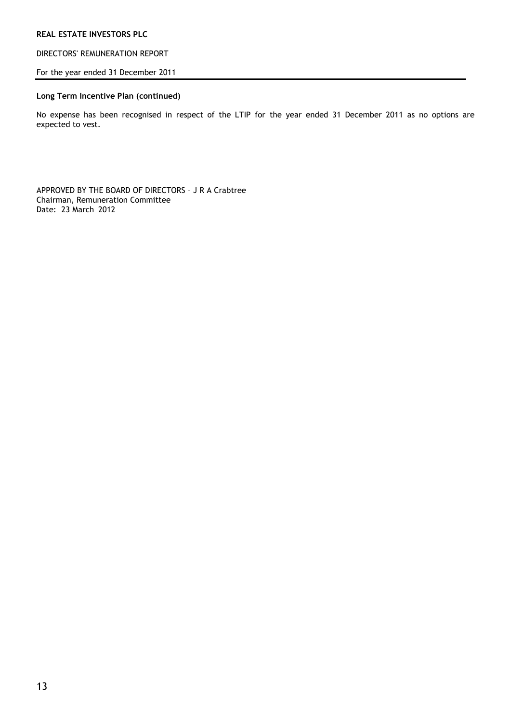# DIRECTORS' REMUNERATION REPORT

For the year ended 31 December 2011

# **Long Term Incentive Plan (continued)**

No expense has been recognised in respect of the LTIP for the year ended 31 December 2011 as no options are expected to vest.

APPROVED BY THE BOARD OF DIRECTORS – J R A Crabtree Chairman, Remuneration Committee Date: 23 March 2012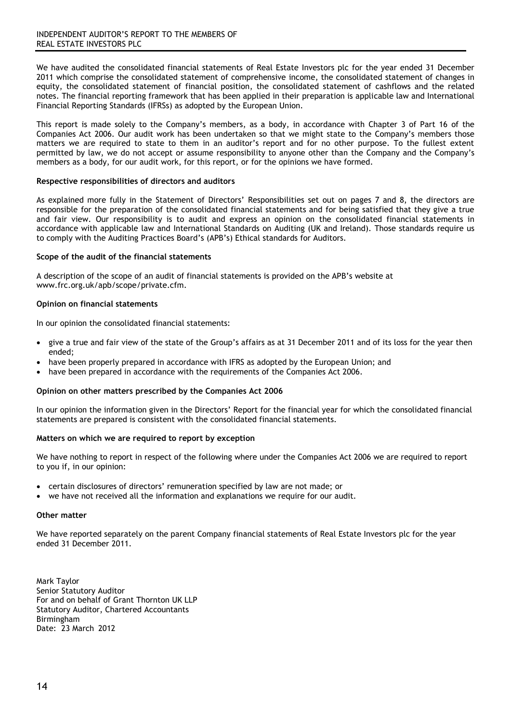We have audited the consolidated financial statements of Real Estate Investors plc for the year ended 31 December 2011 which comprise the consolidated statement of comprehensive income, the consolidated statement of changes in equity, the consolidated statement of financial position, the consolidated statement of cashflows and the related notes. The financial reporting framework that has been applied in their preparation is applicable law and International Financial Reporting Standards (IFRSs) as adopted by the European Union.

This report is made solely to the Company's members, as a body, in accordance with Chapter 3 of Part 16 of the Companies Act 2006. Our audit work has been undertaken so that we might state to the Company's members those matters we are required to state to them in an auditor's report and for no other purpose. To the fullest extent permitted by law, we do not accept or assume responsibility to anyone other than the Company and the Company's members as a body, for our audit work, for this report, or for the opinions we have formed.

# **Respective responsibilities of directors and auditors**

As explained more fully in the Statement of Directors' Responsibilities set out on pages 7 and 8, the directors are responsible for the preparation of the consolidated financial statements and for being satisfied that they give a true and fair view. Our responsibility is to audit and express an opinion on the consolidated financial statements in accordance with applicable law and International Standards on Auditing (UK and Ireland). Those standards require us to comply with the Auditing Practices Board's (APB's) Ethical standards for Auditors.

# **Scope of the audit of the financial statements**

A description of the scope of an audit of financial statements is provided on the APB's website at www.frc.org.uk/apb/scope/private.cfm.

# **Opinion on financial statements**

In our opinion the consolidated financial statements:

- give a true and fair view of the state of the Group's affairs as at 31 December 2011 and of its loss for the year then ended;
- have been properly prepared in accordance with IFRS as adopted by the European Union; and
- have been prepared in accordance with the requirements of the Companies Act 2006.

# **Opinion on other matters prescribed by the Companies Act 2006**

In our opinion the information given in the Directors' Report for the financial year for which the consolidated financial statements are prepared is consistent with the consolidated financial statements.

# **Matters on which we are required to report by exception**

We have nothing to report in respect of the following where under the Companies Act 2006 we are required to report to you if, in our opinion:

- certain disclosures of directors' remuneration specified by law are not made; or
- we have not received all the information and explanations we require for our audit.

# **Other matter**

We have reported separately on the parent Company financial statements of Real Estate Investors plc for the year ended 31 December 2011.

Mark Taylor Senior Statutory Auditor For and on behalf of Grant Thornton UK LLP Statutory Auditor, Chartered Accountants Birmingham Date: 23 March 2012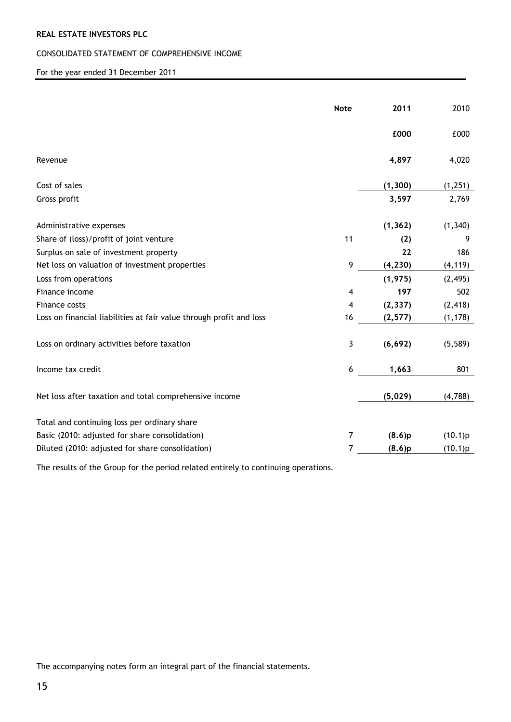# CONSOLIDATED STATEMENT OF COMPREHENSIVE INCOME

For the year ended 31 December 2011

|                                                                     | <b>Note</b> | 2011     | 2010     |
|---------------------------------------------------------------------|-------------|----------|----------|
|                                                                     |             | £000     | £000     |
| Revenue                                                             |             | 4,897    | 4,020    |
| Cost of sales                                                       |             | (1, 300) | (1, 251) |
| Gross profit                                                        |             | 3,597    | 2,769    |
| Administrative expenses                                             |             | (1, 362) | (1, 340) |
| Share of (loss)/profit of joint venture                             | 11          | (2)      | 9        |
| Surplus on sale of investment property                              |             | 22       | 186      |
| Net loss on valuation of investment properties                      | 9           | (4, 230) | (4, 119) |
| Loss from operations                                                |             | (1, 975) | (2, 495) |
| Finance income                                                      | 4           | 197      | 502      |
| Finance costs                                                       | 4           | (2, 337) | (2, 418) |
| Loss on financial liabilities at fair value through profit and loss | 16          | (2, 577) | (1, 178) |
| Loss on ordinary activities before taxation                         | 3           | (6, 692) | (5, 589) |
| Income tax credit                                                   | 6           | 1,663    | 801      |
| Net loss after taxation and total comprehensive income              |             | (5,029)  | (4,788)  |
| Total and continuing loss per ordinary share                        |             |          |          |
| Basic (2010: adjusted for share consolidation)                      | 7           | (8.6)p   | (10.1)p  |
| Diluted (2010: adjusted for share consolidation)                    | 7           | (8.6)p   | (10.1)p  |
|                                                                     |             |          |          |

The results of the Group for the period related entirely to continuing operations.

The accompanying notes form an integral part of the financial statements.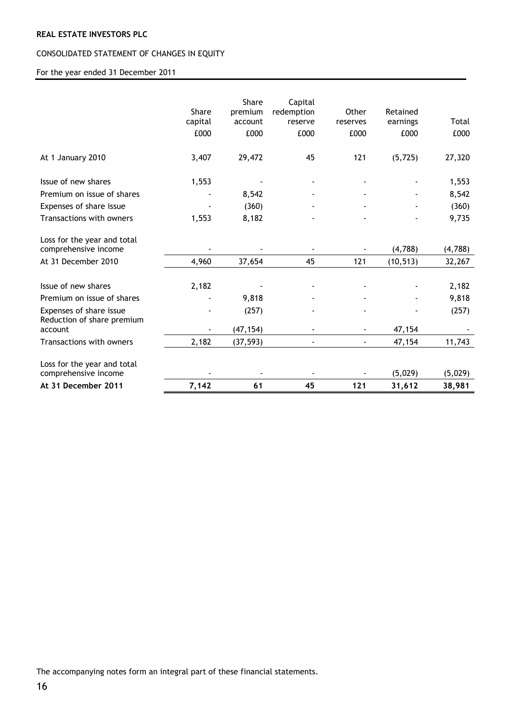# CONSOLIDATED STATEMENT OF CHANGES IN EQUITY

# For the year ended 31 December 2011

|                                                       | Share<br>capital<br>£000 | Share<br>premium<br>account<br>£000 | Capital<br>redemption<br>reserve<br>£000 | Other<br>reserves<br>£000 | Retained<br>earnings<br>£000 | Total<br>£000 |
|-------------------------------------------------------|--------------------------|-------------------------------------|------------------------------------------|---------------------------|------------------------------|---------------|
| At 1 January 2010                                     | 3,407                    | 29,472                              | 45                                       | 121                       | (5, 725)                     | 27,320        |
| Issue of new shares                                   | 1,553                    |                                     |                                          |                           |                              | 1,553         |
| Premium on issue of shares                            |                          | 8,542                               |                                          |                           |                              | 8,542         |
| Expenses of share issue                               |                          | (360)                               |                                          |                           |                              | (360)         |
| Transactions with owners                              | 1,553                    | 8,182                               |                                          |                           |                              | 9,735         |
| Loss for the year and total<br>comprehensive income   |                          |                                     |                                          |                           | (4,788)                      | (4,788)       |
| At 31 December 2010                                   | 4,960                    | 37,654                              | 45                                       | 121                       | (10, 513)                    | 32,267        |
| Issue of new shares                                   | 2,182                    |                                     |                                          |                           |                              | 2,182         |
| Premium on issue of shares                            |                          | 9,818                               |                                          |                           |                              | 9,818         |
| Expenses of share issue<br>Reduction of share premium |                          | (257)                               |                                          |                           |                              | (257)         |
| account                                               | $\blacksquare$           | (47, 154)                           |                                          |                           | 47,154                       |               |
| Transactions with owners                              | 2,182                    | (37, 593)                           |                                          |                           | 47,154                       | 11,743        |
| Loss for the year and total<br>comprehensive income   |                          |                                     |                                          |                           | (5,029)                      | (5,029)       |
| At 31 December 2011                                   | 7,142                    | 61                                  | 45                                       | 121                       | 31,612                       | 38,981        |

The accompanying notes form an integral part of these financial statements.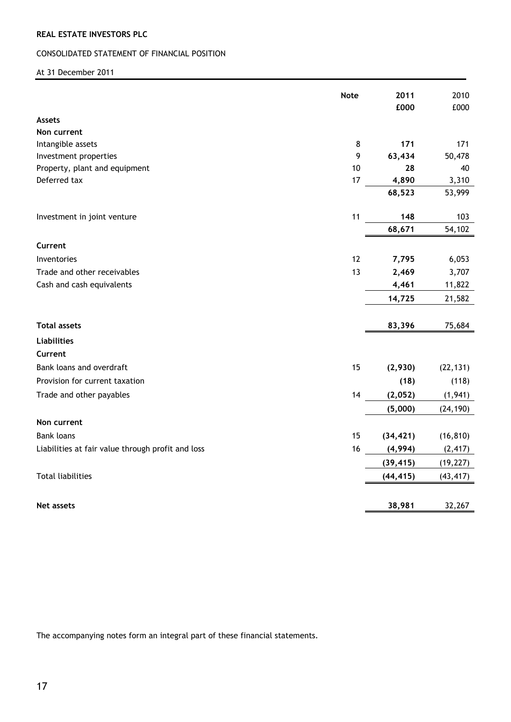# CONSOLIDATED STATEMENT OF FINANCIAL POSITION

# At 31 December 2011

|                                                   | <b>Note</b> | 2011<br>£000 | 2010<br>£000 |
|---------------------------------------------------|-------------|--------------|--------------|
| <b>Assets</b>                                     |             |              |              |
| Non current                                       |             |              |              |
| Intangible assets                                 | 8           | 171          | 171          |
| Investment properties                             | 9           | 63,434       | 50,478       |
| Property, plant and equipment                     | 10          | 28           | 40           |
| Deferred tax                                      | 17          | 4,890        | 3,310        |
|                                                   |             | 68,523       | 53,999       |
| Investment in joint venture                       | 11          | 148          | 103          |
|                                                   |             | 68,671       | 54,102       |
| Current                                           |             |              |              |
| Inventories                                       | 12          | 7,795        | 6,053        |
| Trade and other receivables                       | 13          | 2,469        | 3,707        |
| Cash and cash equivalents                         |             | 4,461        | 11,822       |
|                                                   |             | 14,725       | 21,582       |
|                                                   |             |              |              |
| <b>Total assets</b>                               |             | 83,396       | 75,684       |
| Liabilities                                       |             |              |              |
| Current                                           |             |              |              |
| Bank loans and overdraft                          | 15          | (2,930)      | (22, 131)    |
| Provision for current taxation                    |             | (18)         | (118)        |
| Trade and other payables                          | 14          | (2,052)      | (1, 941)     |
|                                                   |             | (5,000)      | (24, 190)    |
| Non current                                       |             |              |              |
| <b>Bank loans</b>                                 | 15          | (34, 421)    | (16, 810)    |
| Liabilities at fair value through profit and loss | 16          | (4,994)      | (2, 417)     |
|                                                   |             | (39, 415)    | (19, 227)    |
| <b>Total liabilities</b>                          |             | (44, 415)    | (43, 417)    |
|                                                   |             |              |              |
| <b>Net assets</b>                                 |             | 38,981       | 32,267       |

The accompanying notes form an integral part of these financial statements.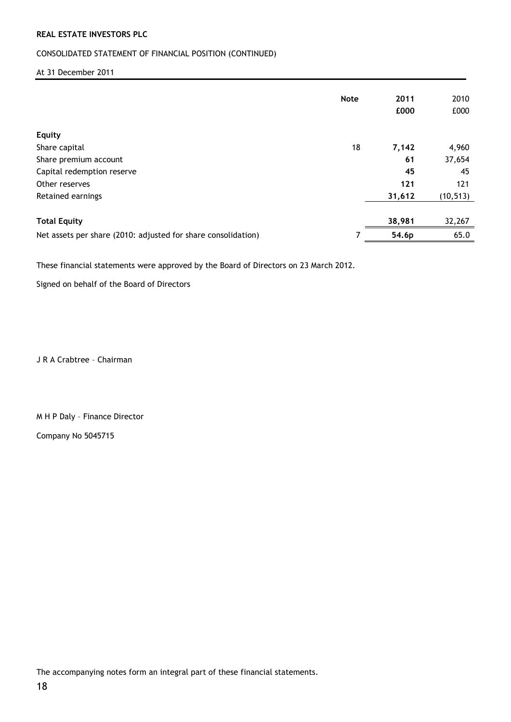# CONSOLIDATED STATEMENT OF FINANCIAL POSITION (CONTINUED)

# At 31 December 2011

|                                                               | <b>Note</b> | 2011<br>£000 | 2010<br>£000 |
|---------------------------------------------------------------|-------------|--------------|--------------|
| <b>Equity</b>                                                 |             |              |              |
| Share capital                                                 | 18          | 7,142        | 4,960        |
| Share premium account                                         |             | 61           | 37,654       |
| Capital redemption reserve                                    |             | 45           | 45           |
| Other reserves                                                |             | 121          | 121          |
| Retained earnings                                             |             | 31,612       | (10, 513)    |
|                                                               |             |              |              |
| <b>Total Equity</b>                                           |             | 38,981       | 32,267       |
| Net assets per share (2010: adjusted for share consolidation) |             | 54.6p        | 65.0         |

These financial statements were approved by the Board of Directors on 23 March 2012.

Signed on behalf of the Board of Directors

J R A Crabtree – Chairman

M H P Daly – Finance Director

Company No 5045715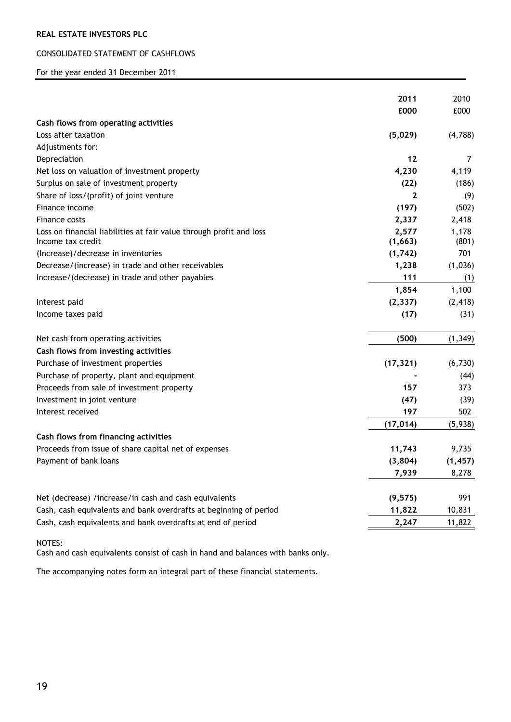# CONSOLIDATED STATEMENT OF CASHFLOWS

# For the year ended 31 December 2011

|                                                                                          | 2011             | 2010           |
|------------------------------------------------------------------------------------------|------------------|----------------|
|                                                                                          | £000             | £000           |
| Cash flows from operating activities                                                     |                  |                |
| Loss after taxation                                                                      | (5,029)          | (4,788)        |
| Adjustments for:                                                                         |                  |                |
| Depreciation                                                                             | 12               | 7              |
| Net loss on valuation of investment property                                             | 4,230            | 4,119          |
| Surplus on sale of investment property                                                   | (22)             | (186)          |
| Share of loss/(profit) of joint venture                                                  | $\mathbf{2}$     | (9)            |
| Finance income                                                                           | (197)            | (502)          |
| Finance costs                                                                            | 2,337            | 2,418          |
| Loss on financial liabilities at fair value through profit and loss<br>Income tax credit | 2,577<br>(1,663) | 1,178<br>(801) |
| (Increase)/decrease in inventories                                                       | (1, 742)         | 701            |
| Decrease/(increase) in trade and other receivables                                       | 1,238            | (1,036)        |
| Increase/(decrease) in trade and other payables                                          | 111              | (1)            |
|                                                                                          | 1,854            | 1,100          |
| Interest paid                                                                            | (2, 337)         | (2, 418)       |
| Income taxes paid                                                                        | (17)             | (31)           |
| Net cash from operating activities                                                       | (500)            | (1, 349)       |
| Cash flows from investing activities                                                     |                  |                |
| Purchase of investment properties                                                        | (17, 321)        | (6, 730)       |
| Purchase of property, plant and equipment                                                |                  | (44)           |
| Proceeds from sale of investment property                                                | 157              | 373            |
| Investment in joint venture                                                              | (47)             | (39)           |
| Interest received                                                                        | 197              | 502            |
|                                                                                          | (17, 014)        | (5,938)        |
| Cash flows from financing activities                                                     |                  |                |
| Proceeds from issue of share capital net of expenses                                     | 11,743           | 9,735          |
| Payment of bank loans                                                                    | (3,804)          | (1, 457)       |
|                                                                                          | 7,939            | 8,278          |
| Net (decrease) /increase/in cash and cash equivalents                                    | (9, 575)         | 991            |
| Cash, cash equivalents and bank overdrafts at beginning of period                        | 11,822           | 10,831         |
| Cash, cash equivalents and bank overdrafts at end of period                              | 2,247            | 11,822         |

# NOTES:

Cash and cash equivalents consist of cash in hand and balances with banks only.

The accompanying notes form an integral part of these financial statements.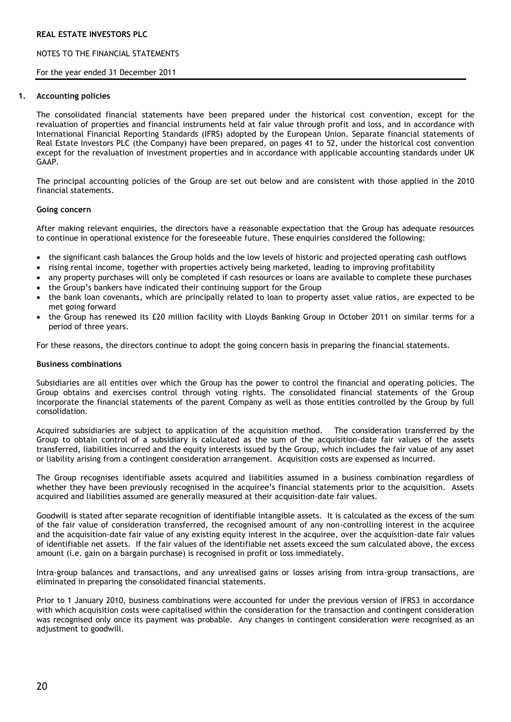# NOTES TO THE FINANCIAL STATEMENTS

#### For the year ended 31 December 2011

#### **1. Accounting policies**

The consolidated financial statements have been prepared under the historical cost convention, except for the revaluation of properties and financial instruments held at fair value through profit and loss, and in accordance with International Financial Reporting Standards (IFRS) adopted by the European Union. Separate financial statements of Real Estate Investors PLC (the Company) have been prepared, on pages 41 to 52, under the historical cost convention except for the revaluation of investment properties and in accordance with applicable accounting standards under UK GAAP.

The principal accounting policies of the Group are set out below and are consistent with those applied in the 2010 financial statements.

# **Going concern**

After making relevant enquiries, the directors have a reasonable expectation that the Group has adequate resources to continue in operational existence for the foreseeable future. These enquiries considered the following:

- the significant cash balances the Group holds and the low levels of historic and projected operating cash outflows
- rising rental income, together with properties actively being marketed, leading to improving profitability
- any property purchases will only be completed if cash resources or loans are available to complete these purchases
- the Group's bankers have indicated their continuing support for the Group
- the bank loan covenants, which are principally related to loan to property asset value ratios, are expected to be met going forward
- the Group has renewed its £20 million facility with Lloyds Banking Group in October 2011 on similar terms for a period of three years.

For these reasons, the directors continue to adopt the going concern basis in preparing the financial statements.

#### **Business combinations**

Subsidiaries are all entities over which the Group has the power to control the financial and operating policies. The Group obtains and exercises control through voting rights. The consolidated financial statements of the Group incorporate the financial statements of the parent Company as well as those entities controlled by the Group by full consolidation.

Acquired subsidiaries are subject to application of the acquisition method. The consideration transferred by the Group to obtain control of a subsidiary is calculated as the sum of the acquisition-date fair values of the assets transferred, liabilities incurred and the equity interests issued by the Group, which includes the fair value of any asset or liability arising from a contingent consideration arrangement. Acquisition costs are expensed as incurred.

The Group recognises identifiable assets acquired and liabilities assumed in a business combination regardless of whether they have been previously recognised in the acquiree's financial statements prior to the acquisition. Assets acquired and liabilities assumed are generally measured at their acquisition-date fair values.

Goodwill is stated after separate recognition of identifiable intangible assets. It is calculated as the excess of the sum of the fair value of consideration transferred, the recognised amount of any non-controlling interest in the acquiree and the acquisition-date fair value of any existing equity interest in the acquiree, over the acquisition-date fair values of identifiable net assets. If the fair values of the identifiable net assets exceed the sum calculated above, the excess amount (i.e. gain on a bargain purchase) is recognised in profit or loss immediately.

Intra-group balances and transactions, and any unrealised gains or losses arising from intra-group transactions, are eliminated in preparing the consolidated financial statements.

Prior to 1 January 2010, business combinations were accounted for under the previous version of IFRS3 in accordance with which acquisition costs were capitalised within the consideration for the transaction and contingent consideration was recognised only once its payment was probable. Any changes in contingent consideration were recognised as an adjustment to goodwill.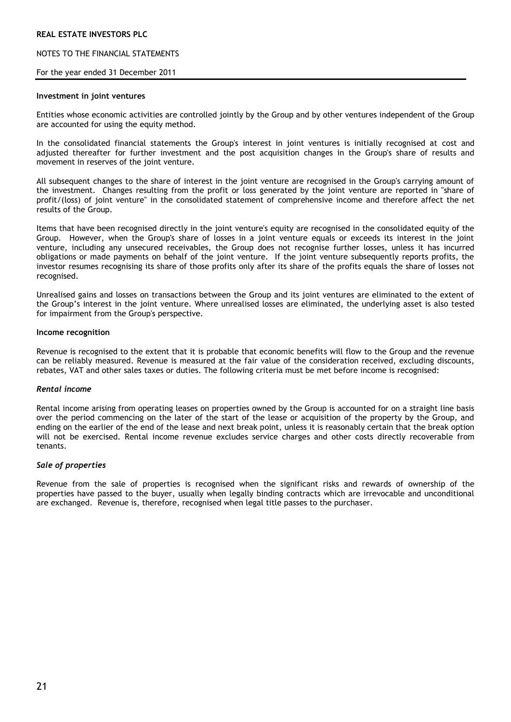# NOTES TO THE FINANCIAL STATEMENTS

#### For the year ended 31 December 2011

#### **Investment in joint ventures**

Entities whose economic activities are controlled jointly by the Group and by other ventures independent of the Group are accounted for using the equity method.

In the consolidated financial statements the Group's interest in joint ventures is initially recognised at cost and adjusted thereafter for further investment and the post acquisition changes in the Group's share of results and movement in reserves of the joint venture.

All subsequent changes to the share of interest in the joint venture are recognised in the Group's carrying amount of the investment. Changes resulting from the profit or loss generated by the joint venture are reported in "share of profit/(loss) of joint venture" in the consolidated statement of comprehensive income and therefore affect the net results of the Group.

Items that have been recognised directly in the joint venture's equity are recognised in the consolidated equity of the Group. However, when the Group's share of losses in a joint venture equals or exceeds its interest in the joint venture, including any unsecured receivables, the Group does not recognise further losses, unless it has incurred obligations or made payments on behalf of the joint venture. If the joint venture subsequently reports profits, the investor resumes recognising its share of those profits only after its share of the profits equals the share of losses not recognised.

Unrealised gains and losses on transactions between the Group and its joint ventures are eliminated to the extent of the Group's interest in the joint venture. Where unrealised losses are eliminated, the underlying asset is also tested for impairment from the Group's perspective.

#### **Income recognition**

Revenue is recognised to the extent that it is probable that economic benefits will flow to the Group and the revenue can be reliably measured. Revenue is measured at the fair value of the consideration received, excluding discounts, rebates, VAT and other sales taxes or duties. The following criteria must be met before income is recognised:

#### *Rental income*

Rental income arising from operating leases on properties owned by the Group is accounted for on a straight line basis over the period commencing on the later of the start of the lease or acquisition of the property by the Group, and ending on the earlier of the end of the lease and next break point, unless it is reasonably certain that the break option will not be exercised. Rental income revenue excludes service charges and other costs directly recoverable from tenants.

# *Sale of properties*

Revenue from the sale of properties is recognised when the significant risks and rewards of ownership of the properties have passed to the buyer, usually when legally binding contracts which are irrevocable and unconditional are exchanged. Revenue is, therefore, recognised when legal title passes to the purchaser.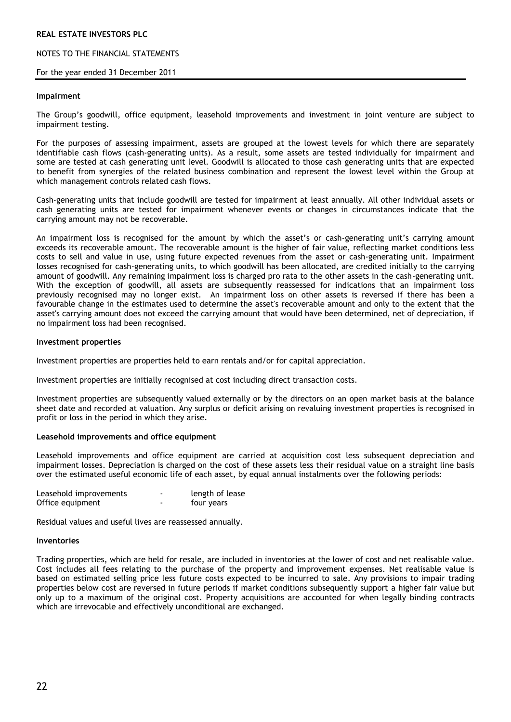# NOTES TO THE FINANCIAL STATEMENTS

# For the year ended 31 December 2011

#### **Impairment**

The Group's goodwill, office equipment, leasehold improvements and investment in joint venture are subject to impairment testing.

For the purposes of assessing impairment, assets are grouped at the lowest levels for which there are separately identifiable cash flows (cash-generating units). As a result, some assets are tested individually for impairment and some are tested at cash generating unit level. Goodwill is allocated to those cash generating units that are expected to benefit from synergies of the related business combination and represent the lowest level within the Group at which management controls related cash flows.

Cash-generating units that include goodwill are tested for impairment at least annually. All other individual assets or cash generating units are tested for impairment whenever events or changes in circumstances indicate that the carrying amount may not be recoverable.

An impairment loss is recognised for the amount by which the asset's or cash-generating unit's carrying amount exceeds its recoverable amount. The recoverable amount is the higher of fair value, reflecting market conditions less costs to sell and value in use, using future expected revenues from the asset or cash-generating unit. Impairment losses recognised for cash-generating units, to which goodwill has been allocated, are credited initially to the carrying amount of goodwill. Any remaining impairment loss is charged pro rata to the other assets in the cash-generating unit. With the exception of goodwill, all assets are subsequently reassessed for indications that an impairment loss previously recognised may no longer exist. An impairment loss on other assets is reversed if there has been a favourable change in the estimates used to determine the asset's recoverable amount and only to the extent that the asset's carrying amount does not exceed the carrying amount that would have been determined, net of depreciation, if no impairment loss had been recognised.

#### **Investment properties**

Investment properties are properties held to earn rentals and/or for capital appreciation.

Investment properties are initially recognised at cost including direct transaction costs.

Investment properties are subsequently valued externally or by the directors on an open market basis at the balance sheet date and recorded at valuation. Any surplus or deficit arising on revaluing investment properties is recognised in profit or loss in the period in which they arise.

# **Leasehold improvements and office equipment**

Leasehold improvements and office equipment are carried at acquisition cost less subsequent depreciation and impairment losses. Depreciation is charged on the cost of these assets less their residual value on a straight line basis over the estimated useful economic life of each asset, by equal annual instalments over the following periods:

| Leasehold improvements | $\blacksquare$ | length of lease |
|------------------------|----------------|-----------------|
| Office equipment       |                | four years      |

Residual values and useful lives are reassessed annually.

#### **Inventories**

Trading properties, which are held for resale, are included in inventories at the lower of cost and net realisable value. Cost includes all fees relating to the purchase of the property and improvement expenses. Net realisable value is based on estimated selling price less future costs expected to be incurred to sale. Any provisions to impair trading properties below cost are reversed in future periods if market conditions subsequently support a higher fair value but only up to a maximum of the original cost. Property acquisitions are accounted for when legally binding contracts which are irrevocable and effectively unconditional are exchanged.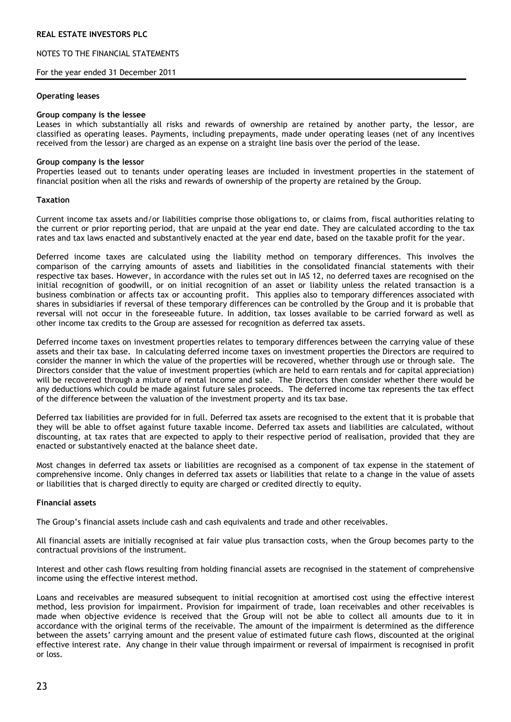#### NOTES TO THE FINANCIAL STATEMENTS

#### For the year ended 31 December 2011

#### **Operating leases**

#### **Group company is the lessee**

Leases in which substantially all risks and rewards of ownership are retained by another party, the lessor, are classified as operating leases. Payments, including prepayments, made under operating leases (net of any incentives received from the lessor) are charged as an expense on a straight line basis over the period of the lease.

#### **Group company is the lessor**

Properties leased out to tenants under operating leases are included in investment properties in the statement of financial position when all the risks and rewards of ownership of the property are retained by the Group.

#### **Taxation**

Current income tax assets and/or liabilities comprise those obligations to, or claims from, fiscal authorities relating to the current or prior reporting period, that are unpaid at the year end date. They are calculated according to the tax rates and tax laws enacted and substantively enacted at the year end date, based on the taxable profit for the year.

Deferred income taxes are calculated using the liability method on temporary differences. This involves the comparison of the carrying amounts of assets and liabilities in the consolidated financial statements with their respective tax bases. However, in accordance with the rules set out in IAS 12, no deferred taxes are recognised on the initial recognition of goodwill, or on initial recognition of an asset or liability unless the related transaction is a business combination or affects tax or accounting profit. This applies also to temporary differences associated with shares in subsidiaries if reversal of these temporary differences can be controlled by the Group and it is probable that reversal will not occur in the foreseeable future. In addition, tax losses available to be carried forward as well as other income tax credits to the Group are assessed for recognition as deferred tax assets.

Deferred income taxes on investment properties relates to temporary differences between the carrying value of these assets and their tax base. In calculating deferred income taxes on investment properties the Directors are required to consider the manner in which the value of the properties will be recovered, whether through use or through sale. The Directors consider that the value of investment properties (which are held to earn rentals and for capital appreciation) will be recovered through a mixture of rental income and sale. The Directors then consider whether there would be any deductions which could be made against future sales proceeds. The deferred income tax represents the tax effect of the difference between the valuation of the investment property and its tax base.

Deferred tax liabilities are provided for in full. Deferred tax assets are recognised to the extent that it is probable that they will be able to offset against future taxable income. Deferred tax assets and liabilities are calculated, without discounting, at tax rates that are expected to apply to their respective period of realisation, provided that they are enacted or substantively enacted at the balance sheet date.

Most changes in deferred tax assets or liabilities are recognised as a component of tax expense in the statement of comprehensive income. Only changes in deferred tax assets or liabilities that relate to a change in the value of assets or liabilities that is charged directly to equity are charged or credited directly to equity.

# **Financial assets**

The Group's financial assets include cash and cash equivalents and trade and other receivables.

All financial assets are initially recognised at fair value plus transaction costs, when the Group becomes party to the contractual provisions of the instrument.

Interest and other cash flows resulting from holding financial assets are recognised in the statement of comprehensive income using the effective interest method.

Loans and receivables are measured subsequent to initial recognition at amortised cost using the effective interest method, less provision for impairment. Provision for impairment of trade, loan receivables and other receivables is made when objective evidence is received that the Group will not be able to collect all amounts due to it in accordance with the original terms of the receivable. The amount of the impairment is determined as the difference between the assets' carrying amount and the present value of estimated future cash flows, discounted at the original effective interest rate. Any change in their value through impairment or reversal of impairment is recognised in profit or loss.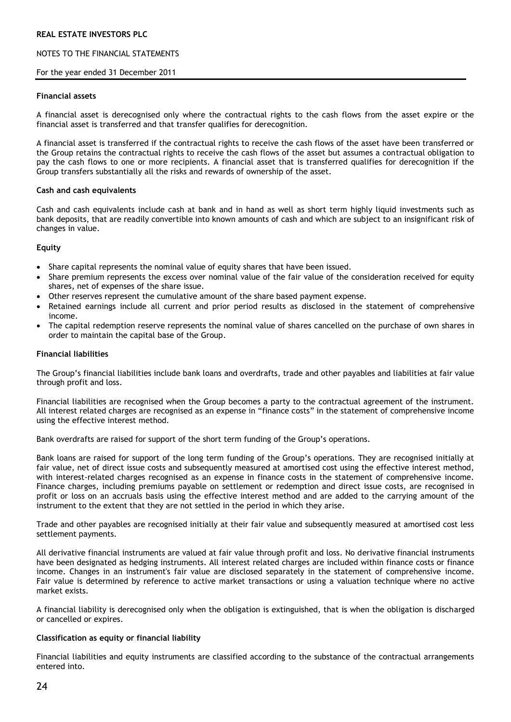# NOTES TO THE FINANCIAL STATEMENTS

# For the year ended 31 December 2011

#### **Financial assets**

A financial asset is derecognised only where the contractual rights to the cash flows from the asset expire or the financial asset is transferred and that transfer qualifies for derecognition.

A financial asset is transferred if the contractual rights to receive the cash flows of the asset have been transferred or the Group retains the contractual rights to receive the cash flows of the asset but assumes a contractual obligation to pay the cash flows to one or more recipients. A financial asset that is transferred qualifies for derecognition if the Group transfers substantially all the risks and rewards of ownership of the asset.

# **Cash and cash equivalents**

Cash and cash equivalents include cash at bank and in hand as well as short term highly liquid investments such as bank deposits, that are readily convertible into known amounts of cash and which are subject to an insignificant risk of changes in value.

# **Equity**

- Share capital represents the nominal value of equity shares that have been issued.
- Share premium represents the excess over nominal value of the fair value of the consideration received for equity shares, net of expenses of the share issue.
- Other reserves represent the cumulative amount of the share based payment expense.
- Retained earnings include all current and prior period results as disclosed in the statement of comprehensive income.
- The capital redemption reserve represents the nominal value of shares cancelled on the purchase of own shares in order to maintain the capital base of the Group.

#### **Financial liabilities**

The Group's financial liabilities include bank loans and overdrafts, trade and other payables and liabilities at fair value through profit and loss.

Financial liabilities are recognised when the Group becomes a party to the contractual agreement of the instrument. All interest related charges are recognised as an expense in "finance costs" in the statement of comprehensive income using the effective interest method.

Bank overdrafts are raised for support of the short term funding of the Group's operations.

Bank loans are raised for support of the long term funding of the Group's operations. They are recognised initially at fair value, net of direct issue costs and subsequently measured at amortised cost using the effective interest method, with interest-related charges recognised as an expense in finance costs in the statement of comprehensive income. Finance charges, including premiums payable on settlement or redemption and direct issue costs, are recognised in profit or loss on an accruals basis using the effective interest method and are added to the carrying amount of the instrument to the extent that they are not settled in the period in which they arise.

Trade and other payables are recognised initially at their fair value and subsequently measured at amortised cost less settlement payments.

All derivative financial instruments are valued at fair value through profit and loss. No derivative financial instruments have been designated as hedging instruments. All interest related charges are included within finance costs or finance income. Changes in an instrument's fair value are disclosed separately in the statement of comprehensive income. Fair value is determined by reference to active market transactions or using a valuation technique where no active market exists.

A financial liability is derecognised only when the obligation is extinguished, that is when the obligation is discharged or cancelled or expires.

# **Classification as equity or financial liability**

Financial liabilities and equity instruments are classified according to the substance of the contractual arrangements entered into.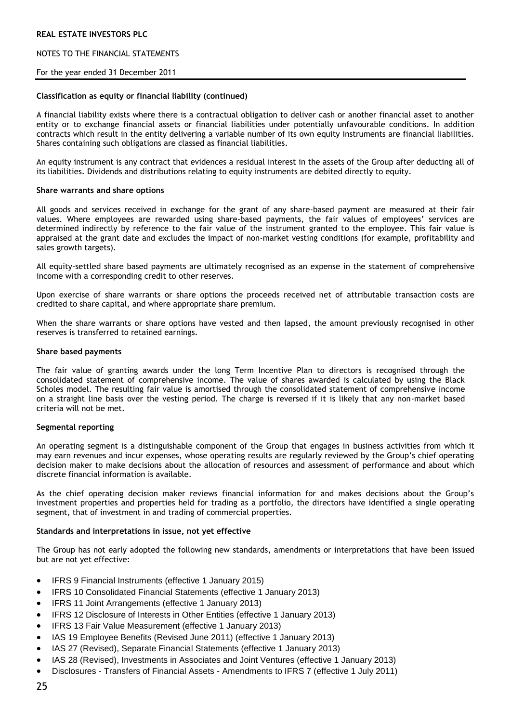# NOTES TO THE FINANCIAL STATEMENTS

#### For the year ended 31 December 2011

#### **Classification as equity or financial liability (continued)**

A financial liability exists where there is a contractual obligation to deliver cash or another financial asset to another entity or to exchange financial assets or financial liabilities under potentially unfavourable conditions. In addition contracts which result in the entity delivering a variable number of its own equity instruments are financial liabilities. Shares containing such obligations are classed as financial liabilities.

An equity instrument is any contract that evidences a residual interest in the assets of the Group after deducting all of its liabilities. Dividends and distributions relating to equity instruments are debited directly to equity.

#### **Share warrants and share options**

All goods and services received in exchange for the grant of any share-based payment are measured at their fair values. Where employees are rewarded using share-based payments, the fair values of employees' services are determined indirectly by reference to the fair value of the instrument granted to the employee. This fair value is appraised at the grant date and excludes the impact of non-market vesting conditions (for example, profitability and sales growth targets).

All equity-settled share based payments are ultimately recognised as an expense in the statement of comprehensive income with a corresponding credit to other reserves.

Upon exercise of share warrants or share options the proceeds received net of attributable transaction costs are credited to share capital, and where appropriate share premium.

When the share warrants or share options have vested and then lapsed, the amount previously recognised in other reserves is transferred to retained earnings.

#### **Share based payments**

The fair value of granting awards under the long Term Incentive Plan to directors is recognised through the consolidated statement of comprehensive income. The value of shares awarded is calculated by using the Black Scholes model. The resulting fair value is amortised through the consolidated statement of comprehensive income on a straight line basis over the vesting period. The charge is reversed if it is likely that any non-market based criteria will not be met.

# **Segmental reporting**

An operating segment is a distinguishable component of the Group that engages in business activities from which it may earn revenues and incur expenses, whose operating results are regularly reviewed by the Group's chief operating decision maker to make decisions about the allocation of resources and assessment of performance and about which discrete financial information is available.

As the chief operating decision maker reviews financial information for and makes decisions about the Group's investment properties and properties held for trading as a portfolio, the directors have identified a single operating segment, that of investment in and trading of commercial properties.

# **Standards and interpretations in issue, not yet effective**

The Group has not early adopted the following new standards, amendments or interpretations that have been issued but are not yet effective:

- IFRS 9 Financial Instruments (effective 1 January 2015)
- IFRS 10 Consolidated Financial Statements (effective 1 January 2013)
- IFRS 11 Joint Arrangements (effective 1 January 2013)
- IFRS 12 Disclosure of Interests in Other Entities (effective 1 January 2013)
- IFRS 13 Fair Value Measurement (effective 1 January 2013)
- IAS 19 Employee Benefits (Revised June 2011) (effective 1 January 2013)
- IAS 27 (Revised), Separate Financial Statements (effective 1 January 2013)
- IAS 28 (Revised), Investments in Associates and Joint Ventures (effective 1 January 2013)
- Disclosures Transfers of Financial Assets Amendments to IFRS 7 (effective 1 July 2011)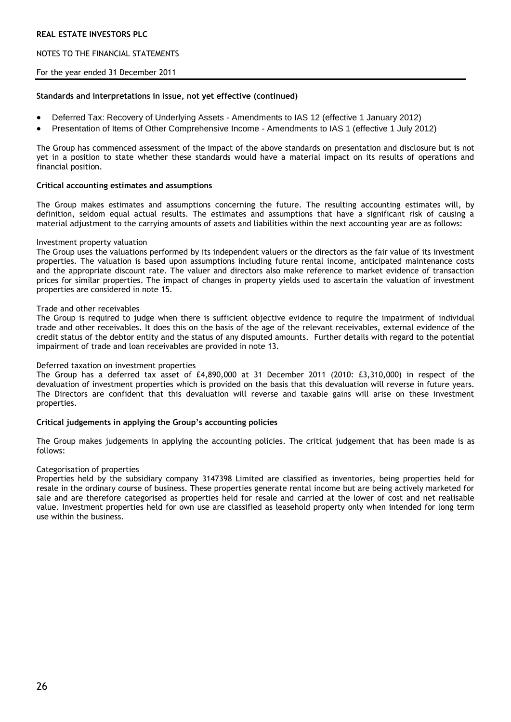# NOTES TO THE FINANCIAL STATEMENTS

# For the year ended 31 December 2011

#### **Standards and interpretations in issue, not yet effective (continued)**

- Deferred Tax: Recovery of Underlying Assets Amendments to IAS 12 (effective 1 January 2012)
- Presentation of Items of Other Comprehensive Income Amendments to IAS 1 (effective 1 July 2012)

The Group has commenced assessment of the impact of the above standards on presentation and disclosure but is not yet in a position to state whether these standards would have a material impact on its results of operations and financial position.

#### **Critical accounting estimates and assumptions**

The Group makes estimates and assumptions concerning the future. The resulting accounting estimates will, by definition, seldom equal actual results. The estimates and assumptions that have a significant risk of causing a material adjustment to the carrying amounts of assets and liabilities within the next accounting year are as follows:

#### Investment property valuation

The Group uses the valuations performed by its independent valuers or the directors as the fair value of its investment properties. The valuation is based upon assumptions including future rental income, anticipated maintenance costs and the appropriate discount rate. The valuer and directors also make reference to market evidence of transaction prices for similar properties. The impact of changes in property yields used to ascertain the valuation of investment properties are considered in note 15.

# Trade and other receivables

The Group is required to judge when there is sufficient objective evidence to require the impairment of individual trade and other receivables. It does this on the basis of the age of the relevant receivables, external evidence of the credit status of the debtor entity and the status of any disputed amounts. Further details with regard to the potential impairment of trade and loan receivables are provided in note 13.

#### Deferred taxation on investment properties

The Group has a deferred tax asset of £4,890,000 at 31 December 2011 (2010: £3,310,000) in respect of the devaluation of investment properties which is provided on the basis that this devaluation will reverse in future years. The Directors are confident that this devaluation will reverse and taxable gains will arise on these investment properties.

# **Critical judgements in applying the Group's accounting policies**

The Group makes judgements in applying the accounting policies. The critical judgement that has been made is as follows:

#### Categorisation of properties

Properties held by the subsidiary company 3147398 Limited are classified as inventories, being properties held for resale in the ordinary course of business. These properties generate rental income but are being actively marketed for sale and are therefore categorised as properties held for resale and carried at the lower of cost and net realisable value. Investment properties held for own use are classified as leasehold property only when intended for long term use within the business.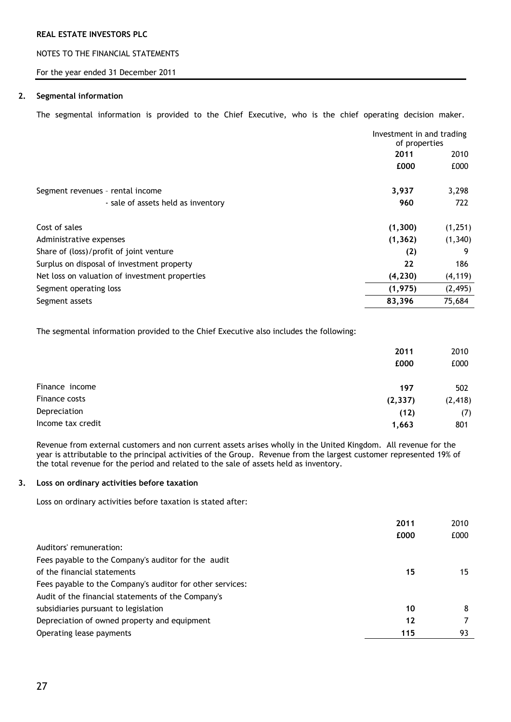# NOTES TO THE FINANCIAL STATEMENTS

For the year ended 31 December 2011

# **2. Segmental information**

The segmental information is provided to the Chief Executive, who is the chief operating decision maker.

|                                                | Investment in and trading<br>of properties |          |  |
|------------------------------------------------|--------------------------------------------|----------|--|
|                                                | 2011                                       | 2010     |  |
|                                                | £000                                       | £000     |  |
| Segment revenues - rental income               | 3,937                                      | 3,298    |  |
| - sale of assets held as inventory             | 960                                        | 722      |  |
| Cost of sales                                  | (1, 300)                                   | (1,251)  |  |
| Administrative expenses                        | (1, 362)                                   | (1, 340) |  |
| Share of (loss)/profit of joint venture        | (2)                                        | 9        |  |
| Surplus on disposal of investment property     | 22                                         | 186      |  |
| Net loss on valuation of investment properties | (4, 230)                                   | (4, 119) |  |
| Segment operating loss                         | (1, 975)                                   | (2, 495) |  |
| Segment assets                                 | 83,396                                     | 75,684   |  |

The segmental information provided to the Chief Executive also includes the following:

| 2011     | 2010     |
|----------|----------|
| £000     | £000     |
| 197      | 502      |
| (2, 337) | (2, 418) |
| (12)     | (7)      |
| 1,663    | 801      |
|          |          |

Revenue from external customers and non current assets arises wholly in the United Kingdom. All revenue for the year is attributable to the principal activities of the Group. Revenue from the largest customer represented 19% of the total revenue for the period and related to the sale of assets held as inventory.

# **3. Loss on ordinary activities before taxation**

Loss on ordinary activities before taxation is stated after:

|                                                           | 2011 | 2010 |
|-----------------------------------------------------------|------|------|
|                                                           | £000 | £000 |
| Auditors' remuneration:                                   |      |      |
| Fees payable to the Company's auditor for the audit       |      |      |
| of the financial statements                               | 15   | 15   |
| Fees payable to the Company's auditor for other services: |      |      |
| Audit of the financial statements of the Company's        |      |      |
| subsidiaries pursuant to legislation                      | 10   | 8    |
| Depreciation of owned property and equipment              | 12   |      |
| Operating lease payments                                  | 115  | 93   |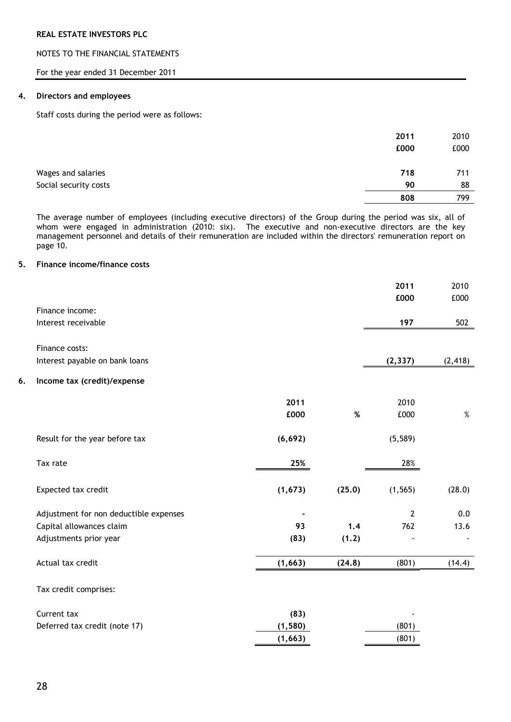# NOTES TO THE FINANCIAL STATEMENTS

# For the year ended 31 December 2011

# **4. Directors and employees**

Staff costs during the period were as follows:

|                       | 2011 | 2010 |
|-----------------------|------|------|
|                       | £000 | £000 |
|                       |      |      |
| Wages and salaries    | 718  | 711  |
| Social security costs | 90   | 88   |
|                       | 808  | 799  |

The average number of employees (including executive directors) of the Group during the period was six, all of whom were engaged in administration (2010: six). The executive and non-executive directors are the key management personnel and details of their remuneration are included within the directors' remuneration report on page 10.

# **5. Finance income/finance costs**

|    |                                        |          |        | 2011           | 2010     |
|----|----------------------------------------|----------|--------|----------------|----------|
|    | Finance income:                        |          |        | £000           | £000     |
|    | Interest receivable                    |          |        | 197            | 502      |
|    | Finance costs:                         |          |        |                |          |
|    | Interest payable on bank loans         |          |        | (2, 337)       | (2, 418) |
| 6. | Income tax (credit)/expense            |          |        |                |          |
|    |                                        | 2011     |        | 2010           |          |
|    |                                        | £000     | $\%$   | £000           | %        |
|    | Result for the year before tax         | (6, 692) |        | (5, 589)       |          |
|    | Tax rate                               | 25%      |        | 28%            |          |
|    | Expected tax credit                    | (1, 673) | (25.0) | (1, 565)       | (28.0)   |
|    | Adjustment for non deductible expenses |          |        | $\overline{2}$ | 0.0      |
|    | Capital allowances claim               | 93       | 1.4    | 762            | 13.6     |
|    | Adjustments prior year                 | (83)     | (1.2)  |                |          |
|    | Actual tax credit                      | (1,663)  | (24.8) | (801)          | (14.4)   |
|    | Tax credit comprises:                  |          |        |                |          |
|    | Current tax                            | (83)     |        |                |          |
|    | Deferred tax credit (note 17)          | (1,580)  |        | (801)          |          |
|    |                                        | (1,663)  |        | (801)          |          |
|    |                                        |          |        |                |          |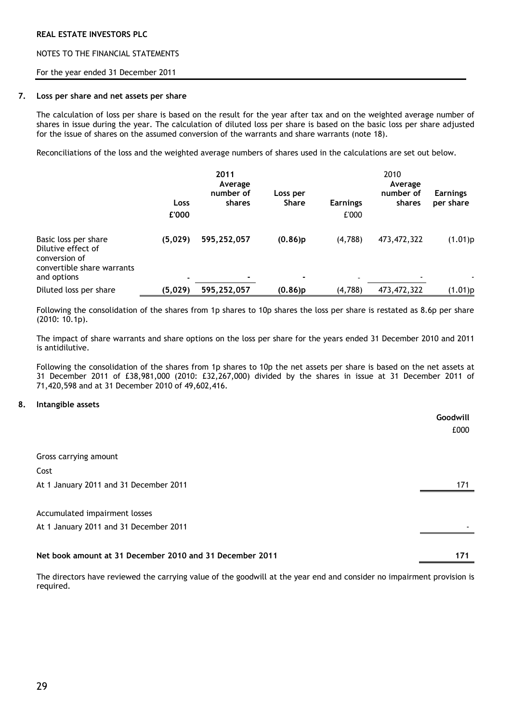# NOTES TO THE FINANCIAL STATEMENTS

#### For the year ended 31 December 2011

#### **7. Loss per share and net assets per share**

The calculation of loss per share is based on the result for the year after tax and on the weighted average number of shares in issue during the year. The calculation of diluted loss per share is based on the basic loss per share adjusted for the issue of shares on the assumed conversion of the warrants and share warrants (note 18).

Reconciliations of the loss and the weighted average numbers of shares used in the calculations are set out below.

|                                                                                                          | Loss<br>£'000 | 2011<br>Average<br>number of<br>shares | Loss per<br><b>Share</b> | <b>Earnings</b><br>£'000 | 2010<br>Average<br>number of<br>shares | <b>Earnings</b><br>per share |
|----------------------------------------------------------------------------------------------------------|---------------|----------------------------------------|--------------------------|--------------------------|----------------------------------------|------------------------------|
| Basic loss per share<br>Dilutive effect of<br>conversion of<br>convertible share warrants<br>and options | (5,029)       | 595,252,057                            | (0.86)p<br>۰             | (4,788)                  | 473, 472, 322                          | (1.01)p                      |
| Diluted loss per share                                                                                   | (5,029)       | 595,252,057                            | (0.86)p                  | (4,788)                  | 473, 472, 322                          | (1.01)p                      |

Following the consolidation of the shares from 1p shares to 10p shares the loss per share is restated as 8.6p per share (2010: 10.1p).

The impact of share warrants and share options on the loss per share for the years ended 31 December 2010 and 2011 is antidilutive.

Following the consolidation of the shares from 1p shares to 10p the net assets per share is based on the net assets at 31 December 2011 of £38,981,000 (2010: £32,267,000) divided by the shares in issue at 31 December 2011 of 71,420,598 and at 31 December 2010 of 49,602,416.

#### **8. Intangible assets**

|                                                          | Goodwill |
|----------------------------------------------------------|----------|
|                                                          | £000     |
| Gross carrying amount                                    |          |
|                                                          |          |
| Cost                                                     |          |
| At 1 January 2011 and 31 December 2011                   | 171      |
|                                                          |          |
| Accumulated impairment losses                            |          |
| At 1 January 2011 and 31 December 2011                   |          |
|                                                          |          |
| Net book amount at 31 December 2010 and 31 December 2011 | 171      |

The directors have reviewed the carrying value of the goodwill at the year end and consider no impairment provision is required.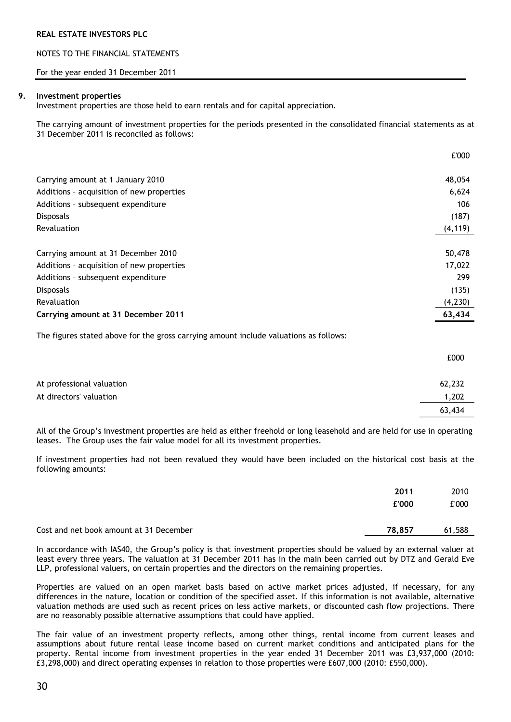# NOTES TO THE FINANCIAL STATEMENTS

For the year ended 31 December 2011

# **9. Investment properties**

Investment properties are those held to earn rentals and for capital appreciation.

The carrying amount of investment properties for the periods presented in the consolidated financial statements as at 31 December 2011 is reconciled as follows:

|                                           | £'000    |
|-------------------------------------------|----------|
| Carrying amount at 1 January 2010         | 48,054   |
| Additions - acquisition of new properties | 6,624    |
| Additions - subsequent expenditure        | 106      |
| Disposals                                 | (187)    |
| Revaluation                               | (4, 119) |
|                                           |          |
| Carrying amount at 31 December 2010       | 50,478   |
| Additions - acquisition of new properties | 17,022   |
| Additions - subsequent expenditure        | 299      |
| <b>Disposals</b>                          | (135)    |
| Revaluation                               | (4, 230) |
| Carrying amount at 31 December 2011       | 63,434   |
|                                           |          |

The figures stated above for the gross carrying amount include valuations as follows:

| At professional valuation | 62,232 |
|---------------------------|--------|
| At directors' valuation   | 1,202  |
|                           | 63,434 |

£000

All of the Group's investment properties are held as either freehold or long leasehold and are held for use in operating leases. The Group uses the fair value model for all its investment properties.

If investment properties had not been revalued they would have been included on the historical cost basis at the following amounts:

|                                         | 2011<br>£'000 | 2010<br>£'000 |
|-----------------------------------------|---------------|---------------|
| Cost and net book amount at 31 December | 78.857        | 61,588        |

In accordance with IAS40, the Group's policy is that investment properties should be valued by an external valuer at least every three years. The valuation at 31 December 2011 has in the main been carried out by DTZ and Gerald Eve LLP, professional valuers, on certain properties and the directors on the remaining properties.

Properties are valued on an open market basis based on active market prices adjusted, if necessary, for any differences in the nature, location or condition of the specified asset. If this information is not available, alternative valuation methods are used such as recent prices on less active markets, or discounted cash flow projections. There are no reasonably possible alternative assumptions that could have applied.

The fair value of an investment property reflects, among other things, rental income from current leases and assumptions about future rental lease income based on current market conditions and anticipated plans for the property. Rental income from investment properties in the year ended 31 December 2011 was £3,937,000 (2010: £3,298,000) and direct operating expenses in relation to those properties were £607,000 (2010: £550,000).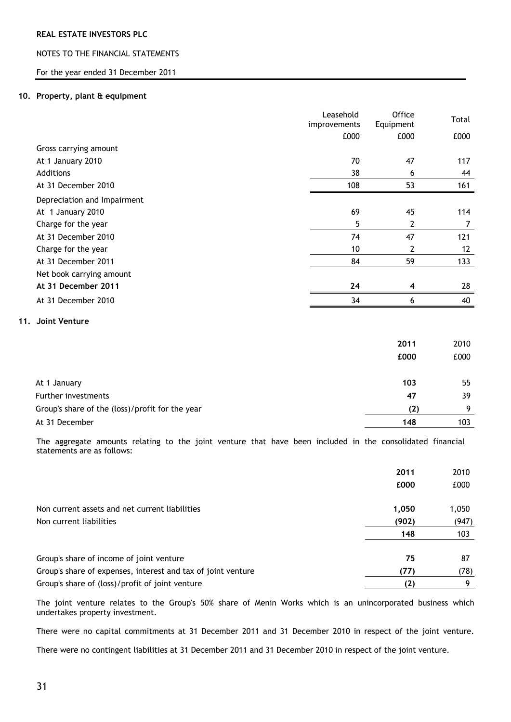# NOTES TO THE FINANCIAL STATEMENTS

For the year ended 31 December 2011

# **10. Property, plant & equipment**

|                                                 | Leasehold<br>improvements | Office<br>Equipment | Total |
|-------------------------------------------------|---------------------------|---------------------|-------|
|                                                 | £000                      | £000                | £000  |
| Gross carrying amount                           |                           |                     |       |
| At 1 January 2010                               | 70                        | 47                  | 117   |
| Additions                                       | 38                        | 6                   | 44    |
| At 31 December 2010                             | 108                       | 53                  | 161   |
| Depreciation and Impairment                     |                           |                     |       |
| At 1 January 2010                               | 69                        | 45                  | 114   |
| Charge for the year                             | 5                         | $\overline{2}$      | 7     |
| At 31 December 2010                             | 74                        | 47                  | 121   |
| Charge for the year                             | 10                        | $\overline{2}$      | 12    |
| At 31 December 2011                             | 84                        | 59                  | 133   |
| Net book carrying amount                        |                           |                     |       |
| At 31 December 2011                             | 24                        | 4                   | 28    |
| At 31 December 2010                             | 34                        | 6                   | 40    |
| <b>Joint Venture</b>                            |                           |                     |       |
|                                                 |                           | 2011                | 2010  |
|                                                 |                           | £000                | £000  |
| At 1 January                                    |                           | 103                 | 55    |
| Further investments                             |                           | 47                  | 39    |
| Group's share of the (loss)/profit for the year |                           | (2)                 | 9     |
| At 31 December                                  |                           | 148                 | 103   |

The aggregate amounts relating to the joint venture that have been included in the consolidated financial statements are as follows:

|                                                              | 2011  | 2010  |
|--------------------------------------------------------------|-------|-------|
|                                                              | £000  | £000  |
| Non current assets and net current liabilities               | 1,050 | 1,050 |
| Non current liabilities                                      | (902) | (947) |
|                                                              | 148   | 103   |
| Group's share of income of joint venture                     | 75    | 87    |
| Group's share of expenses, interest and tax of joint venture | (77)  | (78)  |
| Group's share of (loss)/profit of joint venture              | (2)   | q     |

The joint venture relates to the Group's 50% share of Menin Works which is an unincorporated business which undertakes property investment.

There were no capital commitments at 31 December 2011 and 31 December 2010 in respect of the joint venture.

There were no contingent liabilities at 31 December 2011 and 31 December 2010 in respect of the joint venture.

**11. Joint Venture**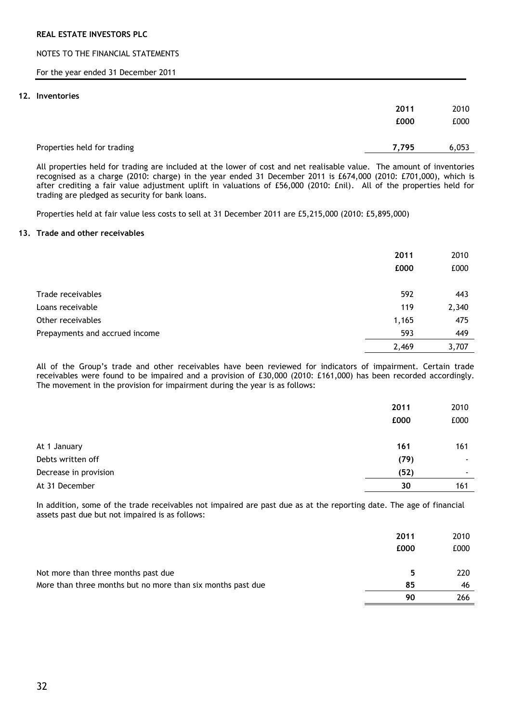# NOTES TO THE FINANCIAL STATEMENTS

#### For the year ended 31 December 2011

#### **12. Inventories**

|                             | 2011  | 2010  |
|-----------------------------|-------|-------|
|                             | £000  | £000  |
|                             |       |       |
| Properties held for trading | 7.795 | 6,053 |
|                             |       |       |

All properties held for trading are included at the lower of cost and net realisable value. The amount of inventories recognised as a charge (2010: charge) in the year ended 31 December 2011 is £674,000 (2010: £701,000), which is after crediting a fair value adjustment uplift in valuations of £56,000 (2010: £nil). All of the properties held for trading are pledged as security for bank loans.

Properties held at fair value less costs to sell at 31 December 2011 are £5,215,000 (2010: £5,895,000)

#### **13. Trade and other receivables**

|                                | 2011<br>£000 | 2010<br>£000 |
|--------------------------------|--------------|--------------|
| Trade receivables              | 592          | 443          |
| Loans receivable               | 119          | 2,340        |
| Other receivables              | 1,165        | 475          |
| Prepayments and accrued income | 593          | 449          |
|                                | 2,469        | 3,707        |

All of the Group's trade and other receivables have been reviewed for indicators of impairment. Certain trade receivables were found to be impaired and a provision of £30,000 (2010: £161,000) has been recorded accordingly. The movement in the provision for impairment during the year is as follows:

|                       | 2011 | 2010                     |
|-----------------------|------|--------------------------|
|                       | £000 | £000                     |
|                       |      |                          |
| At 1 January          | 161  | 161                      |
| Debts written off     | (79) | $\overline{\phantom{a}}$ |
| Decrease in provision | (52) | $\overline{\phantom{a}}$ |
| At 31 December        | 30   | 161                      |

In addition, some of the trade receivables not impaired are past due as at the reporting date. The age of financial assets past due but not impaired is as follows:

|                                                             | 2011 | 2010 |
|-------------------------------------------------------------|------|------|
|                                                             | £000 | £000 |
| Not more than three months past due                         | 5    | 220  |
| More than three months but no more than six months past due | 85   | 46   |
|                                                             | 90   | 266  |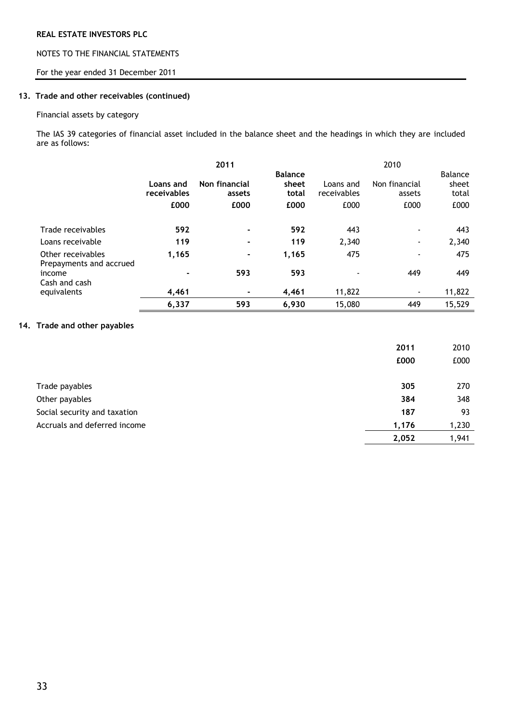# NOTES TO THE FINANCIAL STATEMENTS

# For the year ended 31 December 2011

# **13. Trade and other receivables (continued)**

# Financial assets by category

The IAS 39 categories of financial asset included in the balance sheet and the headings in which they are included are as follows:

|                                              | 2011                     |                         |                                  |                          |                          |                           |
|----------------------------------------------|--------------------------|-------------------------|----------------------------------|--------------------------|--------------------------|---------------------------|
|                                              | Loans and<br>receivables | Non financial<br>assets | <b>Balance</b><br>sheet<br>total | Loans and<br>receivables | Non financial<br>assets  | Balance<br>sheet<br>total |
|                                              | £000                     | £000                    | £000                             | £000                     | £000                     | £000                      |
| Trade receivables                            | 592                      |                         | 592                              | 443                      | $\overline{\phantom{0}}$ | 443                       |
| Loans receivable                             | 119                      | ٠                       | 119                              | 2,340                    | $\overline{\phantom{a}}$ | 2,340                     |
| Other receivables<br>Prepayments and accrued | 1,165                    | ۰                       | 1,165                            | 475                      | $\overline{\phantom{0}}$ | 475                       |
| income<br>Cash and cash                      |                          | 593                     | 593                              |                          | 449                      | 449                       |
| equivalents                                  | 4,461                    | $\blacksquare$          | 4,461                            | 11,822                   | ٠                        | 11,822                    |
|                                              | 6,337                    | 593                     | 6,930                            | 15,080                   | 449                      | 15,529                    |

# **14. Trade and other payables**

|                              | 2011  | 2010  |
|------------------------------|-------|-------|
|                              | £000  | £000  |
|                              | 305   | 270   |
| Trade payables               |       |       |
| Other payables               | 384   | 348   |
| Social security and taxation | 187   | 93    |
| Accruals and deferred income | 1,176 | 1,230 |
|                              | 2,052 | 1,941 |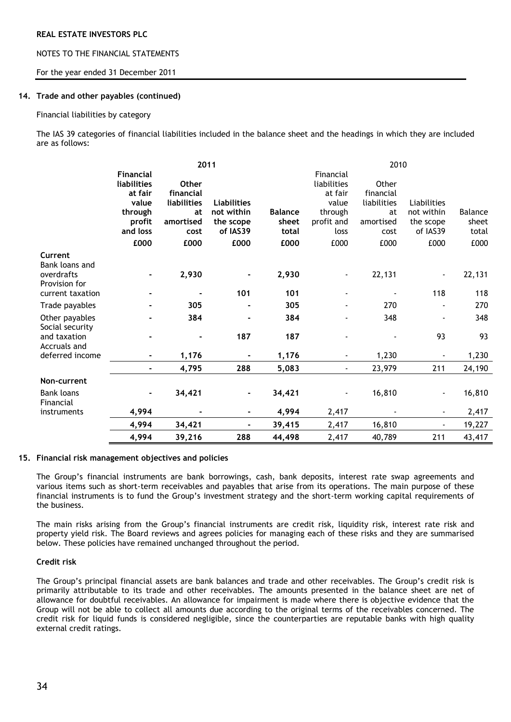# NOTES TO THE FINANCIAL STATEMENTS

# For the year ended 31 December 2011

# **14. Trade and other payables (continued)**

#### Financial liabilities by category

The IAS 39 categories of financial liabilities included in the balance sheet and the headings in which they are included are as follows:

|                                   |                    |              | 2011        |                |             | 2010        |             |                |
|-----------------------------------|--------------------|--------------|-------------|----------------|-------------|-------------|-------------|----------------|
|                                   | <b>Financial</b>   |              |             |                | Financial   |             |             |                |
|                                   | <b>liabilities</b> | <b>Other</b> |             |                | liabilities | Other       |             |                |
|                                   | at fair            | financial    |             |                | at fair     | financial   |             |                |
|                                   | value              | liabilities  | Liabilities |                | value       | liabilities | Liabilities |                |
|                                   | through            | at           | not within  | <b>Balance</b> | through     | at          | not within  | <b>Balance</b> |
|                                   | profit             | amortised    | the scope   | sheet          | profit and  | amortised   | the scope   | sheet          |
|                                   | and loss           | cost         | of IAS39    | total          | loss        | cost        | of IAS39    | total          |
|                                   | £000               | £000         | £000        | £000           | £000        | £000        | £000        | £000           |
| Current                           |                    |              |             |                |             |             |             |                |
| Bank loans and<br>overdrafts      |                    |              |             |                |             |             |             |                |
| Provision for                     |                    | 2,930        |             | 2,930          |             | 22,131      |             | 22,131         |
| current taxation                  |                    |              | 101         | 101            |             |             | 118         | 118            |
| Trade payables                    |                    | 305          |             | 305            |             | 270         |             | 270            |
| Other payables<br>Social security |                    | 384          |             | 384            |             | 348         |             | 348            |
| and taxation<br>Accruals and      |                    |              | 187         | 187            |             |             | 93          | 93             |
| deferred income                   |                    | 1,176        |             | 1,176          |             | 1,230       |             | 1,230          |
|                                   |                    | 4,795        | 288         | 5,083          |             | 23,979      | 211         | 24,190         |
| Non-current                       |                    |              |             |                |             |             |             |                |
| <b>Bank loans</b><br>Financial    |                    | 34,421       |             | 34,421         |             | 16,810      |             | 16,810         |
| instruments                       | 4,994              |              |             | 4,994          | 2,417       |             |             | 2,417          |
|                                   | 4,994              | 34,421       |             | 39,415         | 2,417       | 16,810      |             | 19,227         |
|                                   | 4,994              | 39,216       | 288         | 44,498         | 2,417       | 40,789      | 211         | 43,417         |

#### **15. Financial risk management objectives and policies**

The Group's financial instruments are bank borrowings, cash, bank deposits, interest rate swap agreements and various items such as short-term receivables and payables that arise from its operations. The main purpose of these financial instruments is to fund the Group's investment strategy and the short-term working capital requirements of the business.

The main risks arising from the Group's financial instruments are credit risk, liquidity risk, interest rate risk and property yield risk. The Board reviews and agrees policies for managing each of these risks and they are summarised below. These policies have remained unchanged throughout the period.

# **Credit risk**

The Group's principal financial assets are bank balances and trade and other receivables. The Group's credit risk is primarily attributable to its trade and other receivables. The amounts presented in the balance sheet are net of allowance for doubtful receivables. An allowance for impairment is made where there is objective evidence that the Group will not be able to collect all amounts due according to the original terms of the receivables concerned. The credit risk for liquid funds is considered negligible, since the counterparties are reputable banks with high quality external credit ratings.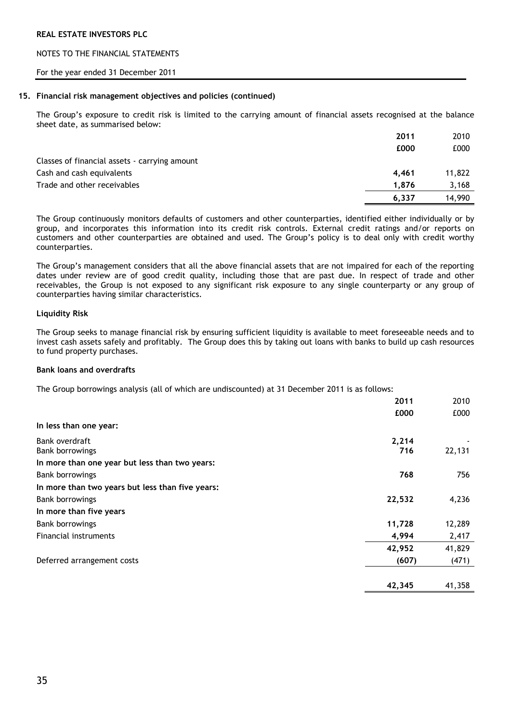#### NOTES TO THE FINANCIAL STATEMENTS

#### For the year ended 31 December 2011

#### **15. Financial risk management objectives and policies (continued)**

The Group's exposure to credit risk is limited to the carrying amount of financial assets recognised at the balance sheet date, as summarised below:

|                                               | 2011  | 2010   |
|-----------------------------------------------|-------|--------|
|                                               | £000  | £000   |
| Classes of financial assets - carrying amount |       |        |
| Cash and cash equivalents                     | 4.461 | 11,822 |
| Trade and other receivables                   | 1.876 | 3,168  |
|                                               | 6.337 | 14,990 |

The Group continuously monitors defaults of customers and other counterparties, identified either individually or by group, and incorporates this information into its credit risk controls. External credit ratings and/or reports on customers and other counterparties are obtained and used. The Group's policy is to deal only with credit worthy counterparties.

The Group's management considers that all the above financial assets that are not impaired for each of the reporting dates under review are of good credit quality, including those that are past due. In respect of trade and other receivables, the Group is not exposed to any significant risk exposure to any single counterparty or any group of counterparties having similar characteristics.

#### **Liquidity Risk**

The Group seeks to manage financial risk by ensuring sufficient liquidity is available to meet foreseeable needs and to invest cash assets safely and profitably. The Group does this by taking out loans with banks to build up cash resources to fund property purchases.

#### **Bank loans and overdrafts**

The Group borrowings analysis (all of which are undiscounted) at 31 December 2011 is as follows:

|                                                  | 2011   | 2010   |
|--------------------------------------------------|--------|--------|
|                                                  | £000   | £000   |
| In less than one year:                           |        |        |
| Bank overdraft                                   | 2,214  |        |
| <b>Bank borrowings</b>                           | 716    | 22,131 |
| In more than one year but less than two years:   |        |        |
| Bank borrowings                                  | 768    | 756    |
| In more than two years but less than five years: |        |        |
| Bank borrowings                                  | 22,532 | 4,236  |
| In more than five years                          |        |        |
| <b>Bank borrowings</b>                           | 11,728 | 12,289 |
| Financial instruments                            | 4,994  | 2,417  |
|                                                  | 42,952 | 41,829 |
| Deferred arrangement costs                       | (607)  | (471)  |
|                                                  |        |        |
|                                                  | 42,345 | 41,358 |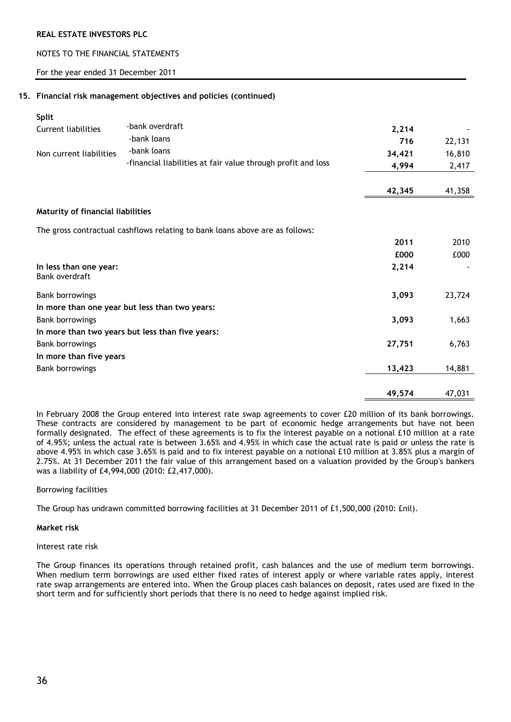# NOTES TO THE FINANCIAL STATEMENTS

For the year ended 31 December 2011

# **15. Financial risk management objectives and policies (continued)**

| <b>Split</b>                             |                                                                              |        |        |
|------------------------------------------|------------------------------------------------------------------------------|--------|--------|
| <b>Current liabilities</b>               | -bank overdraft                                                              | 2,214  |        |
|                                          | -bank loans                                                                  | 716    | 22,131 |
| Non current liabilities                  | -bank loans                                                                  | 34,421 | 16,810 |
|                                          | -financial liabilities at fair value through profit and loss                 | 4,994  | 2,417  |
|                                          |                                                                              |        |        |
|                                          |                                                                              | 42,345 | 41,358 |
| Maturity of financial liabilities        |                                                                              |        |        |
|                                          | The gross contractual cashflows relating to bank loans above are as follows: |        |        |
|                                          |                                                                              | 2011   | 2010   |
|                                          |                                                                              | £000   | £000   |
| In less than one year:<br>Bank overdraft |                                                                              | 2,214  |        |
| <b>Bank borrowings</b>                   |                                                                              | 3,093  | 23,724 |
|                                          | In more than one year but less than two years:                               |        |        |
| <b>Bank borrowings</b>                   |                                                                              | 3,093  | 1,663  |
|                                          | In more than two years but less than five years:                             |        |        |
| <b>Bank borrowings</b>                   |                                                                              | 27,751 | 6,763  |
| In more than five years                  |                                                                              |        |        |
| <b>Bank borrowings</b>                   |                                                                              | 13,423 | 14,881 |
|                                          |                                                                              |        |        |
|                                          |                                                                              | 49,574 | 47,031 |

In February 2008 the Group entered into interest rate swap agreements to cover £20 million of its bank borrowings. These contracts are considered by management to be part of economic hedge arrangements but have not been formally designated. The effect of these agreements is to fix the interest payable on a notional £10 million at a rate of 4.95%; unless the actual rate is between 3.65% and 4.95% in which case the actual rate is paid or unless the rate is above 4.95% in which case 3.65% is paid and to fix interest payable on a notional £10 million at 3.85% plus a margin of 2.75%. At 31 December 2011 the fair value of this arrangement based on a valuation provided by the Group's bankers was a liability of £4,994,000 (2010: £2,417,000).

# Borrowing facilities

The Group has undrawn committed borrowing facilities at 31 December 2011 of £1,500,000 (2010: £nil).

# **Market risk**

# Interest rate risk

The Group finances its operations through retained profit, cash balances and the use of medium term borrowings. When medium term borrowings are used either fixed rates of interest apply or where variable rates apply, interest rate swap arrangements are entered into. When the Group places cash balances on deposit, rates used are fixed in the short term and for sufficiently short periods that there is no need to hedge against implied risk.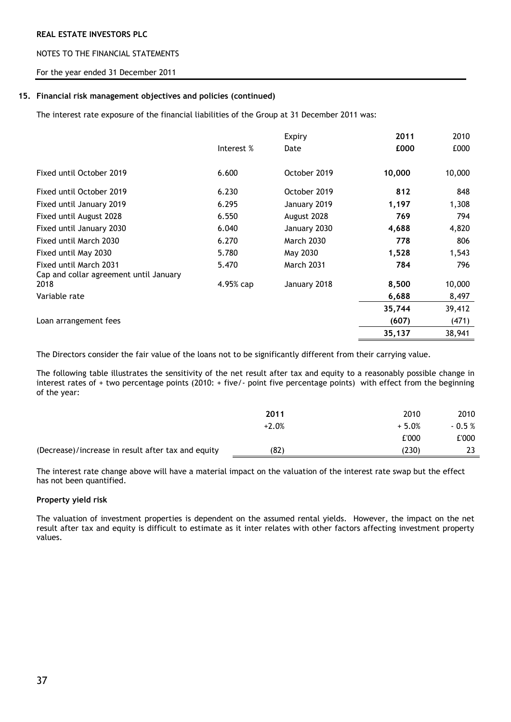# NOTES TO THE FINANCIAL STATEMENTS

For the year ended 31 December 2011

# **15. Financial risk management objectives and policies (continued)**

The interest rate exposure of the financial liabilities of the Group at 31 December 2011 was:

|                                                                  |            | Expiry            | 2011   | 2010   |
|------------------------------------------------------------------|------------|-------------------|--------|--------|
|                                                                  | Interest % | Date              | £000   | £000   |
| Fixed until October 2019                                         | 6.600      | October 2019      | 10,000 | 10,000 |
| Fixed until October 2019                                         | 6.230      | October 2019      | 812    | 848    |
| Fixed until January 2019                                         | 6.295      | January 2019      | 1,197  | 1,308  |
| Fixed until August 2028                                          | 6.550      | August 2028       | 769    | 794    |
| Fixed until January 2030                                         | 6.040      | January 2030      | 4,688  | 4,820  |
| Fixed until March 2030                                           | 6.270      | <b>March 2030</b> | 778    | 806    |
| Fixed until May 2030                                             | 5.780      | May 2030          | 1,528  | 1,543  |
| Fixed until March 2031<br>Cap and collar agreement until January | 5.470      | <b>March 2031</b> | 784    | 796    |
| 2018                                                             | 4.95% cap  | January 2018      | 8,500  | 10,000 |
| Variable rate                                                    |            |                   | 6,688  | 8,497  |
|                                                                  |            |                   | 35,744 | 39,412 |
| Loan arrangement fees                                            |            |                   | (607)  | (471)  |
|                                                                  |            |                   | 35,137 | 38,941 |

The Directors consider the fair value of the loans not to be significantly different from their carrying value.

The following table illustrates the sensitivity of the net result after tax and equity to a reasonably possible change in interest rates of + two percentage points (2010: + five/- point five percentage points) with effect from the beginning of the year:

|                                                    | 2011    | 2010    | 2010       |
|----------------------------------------------------|---------|---------|------------|
|                                                    | $+2.0%$ | $+5.0%$ | $-0.5\,\%$ |
|                                                    |         | £'000   | £'000      |
| (Decrease)/increase in result after tax and equity | (82)    | (230)   | 23         |

The interest rate change above will have a material impact on the valuation of the interest rate swap but the effect has not been quantified.

# **Property yield risk**

The valuation of investment properties is dependent on the assumed rental yields. However, the impact on the net result after tax and equity is difficult to estimate as it inter relates with other factors affecting investment property values.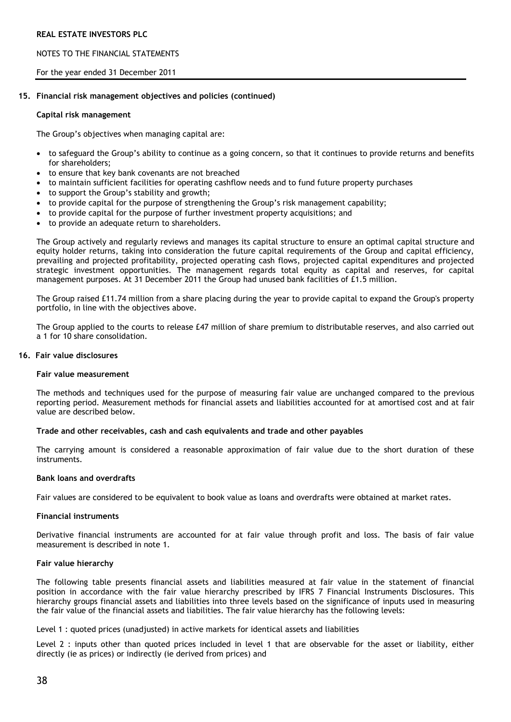# NOTES TO THE FINANCIAL STATEMENTS

# For the year ended 31 December 2011

# **15. Financial risk management objectives and policies (continued)**

#### **Capital risk management**

The Group's objectives when managing capital are:

- to safeguard the Group's ability to continue as a going concern, so that it continues to provide returns and benefits for shareholders;
- to ensure that key bank covenants are not breached
- to maintain sufficient facilities for operating cashflow needs and to fund future property purchases
- to support the Group's stability and growth;
- to provide capital for the purpose of strengthening the Group's risk management capability;
- to provide capital for the purpose of further investment property acquisitions; and
- to provide an adequate return to shareholders.

The Group actively and regularly reviews and manages its capital structure to ensure an optimal capital structure and equity holder returns, taking into consideration the future capital requirements of the Group and capital efficiency, prevailing and projected profitability, projected operating cash flows, projected capital expenditures and projected strategic investment opportunities. The management regards total equity as capital and reserves, for capital management purposes. At 31 December 2011 the Group had unused bank facilities of £1.5 million.

The Group raised £11.74 million from a share placing during the year to provide capital to expand the Group's property portfolio, in line with the objectives above.

The Group applied to the courts to release £47 million of share premium to distributable reserves, and also carried out a 1 for 10 share consolidation.

#### **16. Fair value disclosures**

#### **Fair value measurement**

The methods and techniques used for the purpose of measuring fair value are unchanged compared to the previous reporting period. Measurement methods for financial assets and liabilities accounted for at amortised cost and at fair value are described below.

# **Trade and other receivables, cash and cash equivalents and trade and other payables**

The carrying amount is considered a reasonable approximation of fair value due to the short duration of these instruments.

#### **Bank loans and overdrafts**

Fair values are considered to be equivalent to book value as loans and overdrafts were obtained at market rates.

#### **Financial instruments**

Derivative financial instruments are accounted for at fair value through profit and loss. The basis of fair value measurement is described in note 1.

# **Fair value hierarchy**

The following table presents financial assets and liabilities measured at fair value in the statement of financial position in accordance with the fair value hierarchy prescribed by IFRS 7 Financial Instruments Disclosures. This hierarchy groups financial assets and liabilities into three levels based on the significance of inputs used in measuring the fair value of the financial assets and liabilities. The fair value hierarchy has the following levels:

Level 1 : quoted prices (unadjusted) in active markets for identical assets and liabilities

Level 2 : inputs other than quoted prices included in level 1 that are observable for the asset or liability, either directly (ie as prices) or indirectly (ie derived from prices) and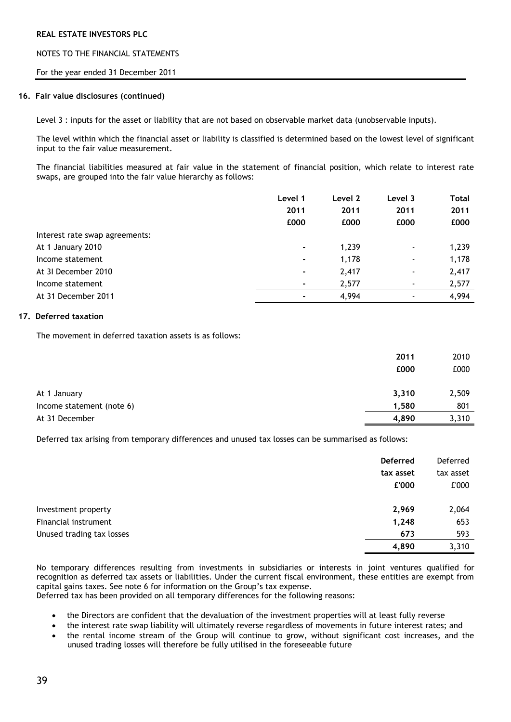# NOTES TO THE FINANCIAL STATEMENTS

# For the year ended 31 December 2011

#### **16. Fair value disclosures (continued)**

Level 3 : inputs for the asset or liability that are not based on observable market data (unobservable inputs).

The level within which the financial asset or liability is classified is determined based on the lowest level of significant input to the fair value measurement.

The financial liabilities measured at fair value in the statement of financial position, which relate to interest rate swaps, are grouped into the fair value hierarchy as follows:

|                                | Level 1<br>2011          | Level 2<br>2011 | Level 3<br>2011          | <b>Total</b><br>2011 |
|--------------------------------|--------------------------|-----------------|--------------------------|----------------------|
|                                | £000                     | £000            | £000                     | £000                 |
| Interest rate swap agreements: |                          |                 |                          |                      |
| At 1 January 2010              | ٠                        | 1,239           | $\blacksquare$           | 1,239                |
| Income statement               | ۰                        | 1,178           | $\overline{\phantom{a}}$ | 1,178                |
| At 3I December 2010            | ۰                        | 2,417           | $\blacksquare$           | 2,417                |
| Income statement               | ۰                        | 2,577           | $\blacksquare$           | 2,577                |
| At 31 December 2011            | $\overline{\phantom{a}}$ | 4,994           | $\blacksquare$           | 4,994                |

# **17. Deferred taxation**

The movement in deferred taxation assets is as follows:

|                           | 2011  | 2010  |
|---------------------------|-------|-------|
|                           | £000  | £000  |
|                           |       |       |
| At 1 January              | 3,310 | 2,509 |
| Income statement (note 6) | 1.580 | 801   |
| At 31 December            | 4,890 | 3,310 |

Deferred tax arising from temporary differences and unused tax losses can be summarised as follows:

|                           | <b>Deferred</b> | Deferred  |
|---------------------------|-----------------|-----------|
|                           | tax asset       | tax asset |
|                           | £'000           | £'000     |
| Investment property       | 2,969           | 2,064     |
| Financial instrument      | 1,248           | 653       |
| Unused trading tax losses | 673             | 593       |
|                           | 4,890           | 3,310     |

No temporary differences resulting from investments in subsidiaries or interests in joint ventures qualified for recognition as deferred tax assets or liabilities. Under the current fiscal environment, these entities are exempt from capital gains taxes. See note 6 for information on the Group's tax expense.

Deferred tax has been provided on all temporary differences for the following reasons:

the Directors are confident that the devaluation of the investment properties will at least fully reverse

- the interest rate swap liability will ultimately reverse regardless of movements in future interest rates; and
- the rental income stream of the Group will continue to grow, without significant cost increases, and the unused trading losses will therefore be fully utilised in the foreseeable future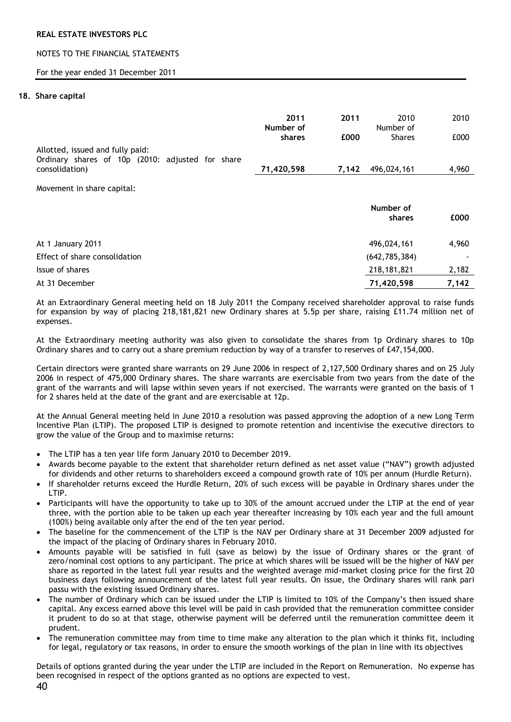# NOTES TO THE FINANCIAL STATEMENTS

# For the year ended 31 December 2011

#### **18. Share capital**

|                                                                                      | 2011<br>Number of | 2011  | 2010<br>Number of | 2010  |
|--------------------------------------------------------------------------------------|-------------------|-------|-------------------|-------|
|                                                                                      | shares            | £000  | <b>Shares</b>     | £000  |
| Allotted, issued and fully paid:<br>Ordinary shares of 10p (2010: adjusted for share |                   |       |                   |       |
| consolidation)                                                                       | 71,420,598        | 7,142 | 496,024,161       | 4,960 |
| Movement in share capital:                                                           |                   |       |                   |       |
|                                                                                      |                   |       | Number of         |       |
|                                                                                      |                   |       | shares            | £000  |
| At 1 January 2011                                                                    |                   |       | 496,024,161       | 4,960 |
| Effect of share consolidation                                                        |                   |       | (642, 785, 384)   |       |
| Issue of shares                                                                      |                   |       | 218, 181, 821     | 2,182 |
| At 31 December                                                                       |                   |       | 71,420,598        | 7,142 |

At an Extraordinary General meeting held on 18 July 2011 the Company received shareholder approval to raise funds for expansion by way of placing 218,181,821 new Ordinary shares at 5.5p per share, raising £11.74 million net of expenses.

At the Extraordinary meeting authority was also given to consolidate the shares from 1p Ordinary shares to 10p Ordinary shares and to carry out a share premium reduction by way of a transfer to reserves of £47,154,000.

Certain directors were granted share warrants on 29 June 2006 in respect of 2,127,500 Ordinary shares and on 25 July 2006 in respect of 475,000 Ordinary shares. The share warrants are exercisable from two years from the date of the grant of the warrants and will lapse within seven years if not exercised. The warrants were granted on the basis of 1 for 2 shares held at the date of the grant and are exercisable at 12p.

At the Annual General meeting held in June 2010 a resolution was passed approving the adoption of a new Long Term Incentive Plan (LTIP). The proposed LTIP is designed to promote retention and incentivise the executive directors to grow the value of the Group and to maximise returns:

- The LTIP has a ten year life form January 2010 to December 2019.
- Awards become payable to the extent that shareholder return defined as net asset value ("NAV") growth adjusted for dividends and other returns to shareholders exceed a compound growth rate of 10% per annum (Hurdle Return).
- If shareholder returns exceed the Hurdle Return, 20% of such excess will be payable in Ordinary shares under the LTIP.
- Participants will have the opportunity to take up to 30% of the amount accrued under the LTIP at the end of year three, with the portion able to be taken up each year thereafter increasing by 10% each year and the full amount (100%) being available only after the end of the ten year period.
- The baseline for the commencement of the LTIP is the NAV per Ordinary share at 31 December 2009 adjusted for the impact of the placing of Ordinary shares in February 2010.
- Amounts payable will be satisfied in full (save as below) by the issue of Ordinary shares or the grant of zero/nominal cost options to any participant. The price at which shares will be issued will be the higher of NAV per share as reported in the latest full year results and the weighted average mid-market closing price for the first 20 business days following announcement of the latest full year results. On issue, the Ordinary shares will rank pari passu with the existing issued Ordinary shares.
- The number of Ordinary which can be issued under the LTIP is limited to 10% of the Company's then issued share capital. Any excess earned above this level will be paid in cash provided that the remuneration committee consider it prudent to do so at that stage, otherwise payment will be deferred until the remuneration committee deem it prudent.
- The remuneration committee may from time to time make any alteration to the plan which it thinks fit, including for legal, regulatory or tax reasons, in order to ensure the smooth workings of the plan in line with its objectives

Details of options granted during the year under the LTIP are included in the Report on Remuneration. No expense has been recognised in respect of the options granted as no options are expected to vest.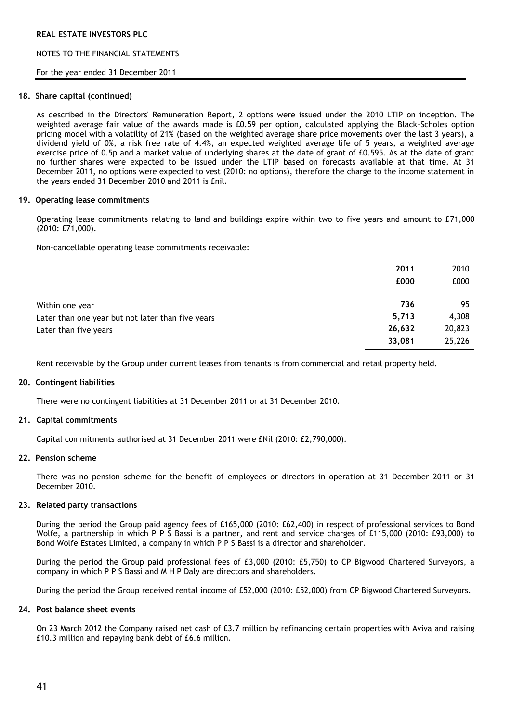# NOTES TO THE FINANCIAL STATEMENTS

#### For the year ended 31 December 2011

#### **18. Share capital (continued)**

As described in the Directors' Remuneration Report, 2 options were issued under the 2010 LTIP on inception. The weighted average fair value of the awards made is £0.59 per option, calculated applying the Black-Scholes option pricing model with a volatility of 21% (based on the weighted average share price movements over the last 3 years), a dividend yield of 0%, a risk free rate of 4.4%, an expected weighted average life of 5 years, a weighted average exercise price of 0.5p and a market value of underlying shares at the date of grant of £0.595. As at the date of grant no further shares were expected to be issued under the LTIP based on forecasts available at that time. At 31 December 2011, no options were expected to vest (2010: no options), therefore the charge to the income statement in the years ended 31 December 2010 and 2011 is £nil.

#### **19. Operating lease commitments**

Operating lease commitments relating to land and buildings expire within two to five years and amount to £71,000 (2010: £71,000).

Non-cancellable operating lease commitments receivable:

|                                                   | 2011<br>£000 | 2010<br>£000 |
|---------------------------------------------------|--------------|--------------|
| Within one year                                   | 736          | 95           |
| Later than one year but not later than five years | 5,713        | 4,308        |
| Later than five years                             | 26,632       | 20,823       |
|                                                   | 33,081       | 25,226       |

Rent receivable by the Group under current leases from tenants is from commercial and retail property held.

# **20. Contingent liabilities**

There were no contingent liabilities at 31 December 2011 or at 31 December 2010.

#### **21. Capital commitments**

Capital commitments authorised at 31 December 2011 were £Nil (2010: £2,790,000).

#### **22. Pension scheme**

There was no pension scheme for the benefit of employees or directors in operation at 31 December 2011 or 31 December 2010.

# **23. Related party transactions**

During the period the Group paid agency fees of £165,000 (2010: £62,400) in respect of professional services to Bond Wolfe, a partnership in which P P S Bassi is a partner, and rent and service charges of £115,000 (2010: £93,000) to Bond Wolfe Estates Limited, a company in which P P S Bassi is a director and shareholder.

During the period the Group paid professional fees of £3,000 (2010: £5,750) to CP Bigwood Chartered Surveyors, a company in which P P S Bassi and M H P Daly are directors and shareholders.

During the period the Group received rental income of £52,000 (2010: £52,000) from CP Bigwood Chartered Surveyors.

#### **24. Post balance sheet events**

On 23 March 2012 the Company raised net cash of £3.7 million by refinancing certain properties with Aviva and raising £10.3 million and repaying bank debt of £6.6 million.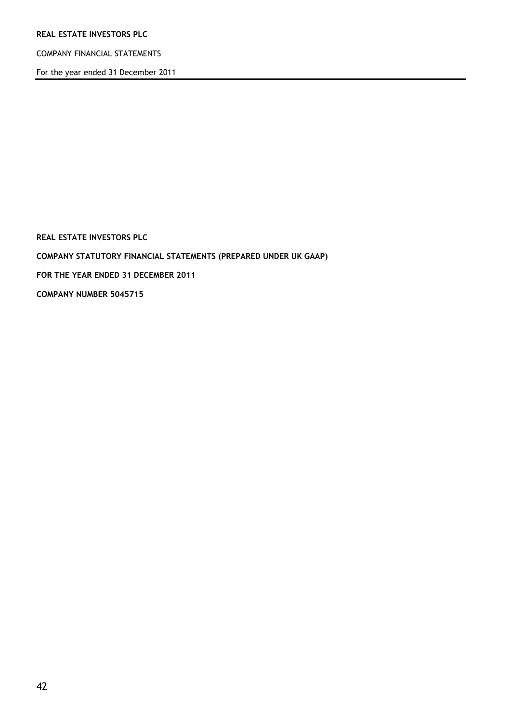COMPANY FINANCIAL STATEMENTS

For the year ended 31 December 2011

**REAL ESTATE INVESTORS PLC COMPANY STATUTORY FINANCIAL STATEMENTS (PREPARED UNDER UK GAAP) FOR THE YEAR ENDED 31 DECEMBER 2011 COMPANY NUMBER 5045715**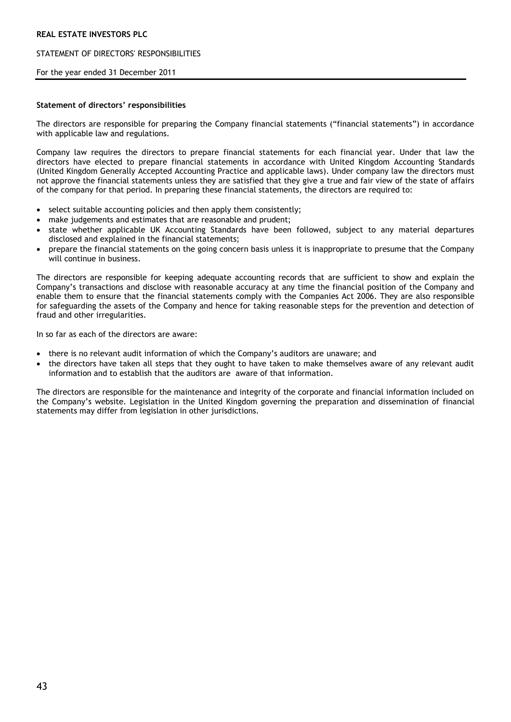# STATEMENT OF DIRECTORS' RESPONSIBILITIES

# For the year ended 31 December 2011

# **Statement of directors' responsibilities**

The directors are responsible for preparing the Company financial statements ("financial statements") in accordance with applicable law and regulations.

Company law requires the directors to prepare financial statements for each financial year. Under that law the directors have elected to prepare financial statements in accordance with United Kingdom Accounting Standards (United Kingdom Generally Accepted Accounting Practice and applicable laws). Under company law the directors must not approve the financial statements unless they are satisfied that they give a true and fair view of the state of affairs of the company for that period. In preparing these financial statements, the directors are required to:

- select suitable accounting policies and then apply them consistently;
- make judgements and estimates that are reasonable and prudent;
- state whether applicable UK Accounting Standards have been followed, subject to any material departures disclosed and explained in the financial statements;
- prepare the financial statements on the going concern basis unless it is inappropriate to presume that the Company will continue in business.

The directors are responsible for keeping adequate accounting records that are sufficient to show and explain the Company's transactions and disclose with reasonable accuracy at any time the financial position of the Company and enable them to ensure that the financial statements comply with the Companies Act 2006. They are also responsible for safeguarding the assets of the Company and hence for taking reasonable steps for the prevention and detection of fraud and other irregularities.

In so far as each of the directors are aware:

- there is no relevant audit information of which the Company's auditors are unaware; and
- the directors have taken all steps that they ought to have taken to make themselves aware of any relevant audit information and to establish that the auditors are aware of that information.

The directors are responsible for the maintenance and integrity of the corporate and financial information included on the Company's website. Legislation in the United Kingdom governing the preparation and dissemination of financial statements may differ from legislation in other jurisdictions.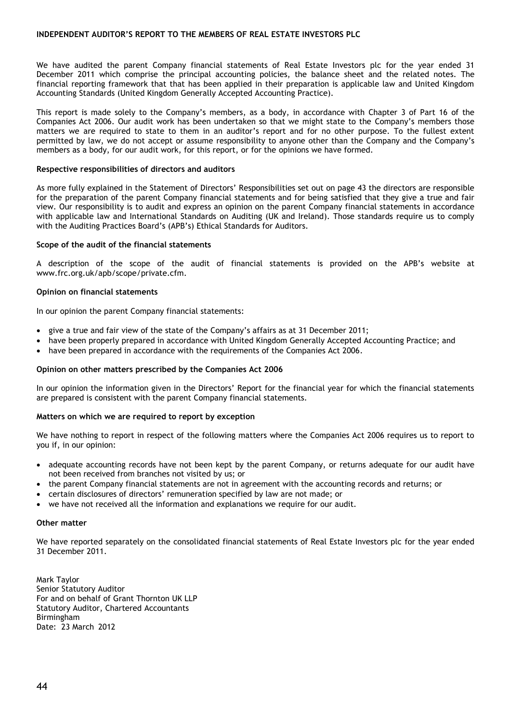# **INDEPENDENT AUDITOR'S REPORT TO THE MEMBERS OF REAL ESTATE INVESTORS PLC**

We have audited the parent Company financial statements of Real Estate Investors plc for the year ended 31 December 2011 which comprise the principal accounting policies, the balance sheet and the related notes. The financial reporting framework that that has been applied in their preparation is applicable law and United Kingdom Accounting Standards (United Kingdom Generally Accepted Accounting Practice).

This report is made solely to the Company's members, as a body, in accordance with Chapter 3 of Part 16 of the Companies Act 2006. Our audit work has been undertaken so that we might state to the Company's members those matters we are required to state to them in an auditor's report and for no other purpose. To the fullest extent permitted by law, we do not accept or assume responsibility to anyone other than the Company and the Company's members as a body, for our audit work, for this report, or for the opinions we have formed.

# **Respective responsibilities of directors and auditors**

As more fully explained in the Statement of Directors' Responsibilities set out on page 43 the directors are responsible for the preparation of the parent Company financial statements and for being satisfied that they give a true and fair view. Our responsibility is to audit and express an opinion on the parent Company financial statements in accordance with applicable law and International Standards on Auditing (UK and Ireland). Those standards require us to comply with the Auditing Practices Board's (APB's) Ethical Standards for Auditors.

# **Scope of the audit of the financial statements**

A description of the scope of the audit of financial statements is provided on the APB's website at www.frc.org.uk/apb/scope/private.cfm.

# **Opinion on financial statements**

In our opinion the parent Company financial statements:

- give a true and fair view of the state of the Company's affairs as at 31 December 2011;
- have been properly prepared in accordance with United Kingdom Generally Accepted Accounting Practice; and
- have been prepared in accordance with the requirements of the Companies Act 2006.

# **Opinion on other matters prescribed by the Companies Act 2006**

In our opinion the information given in the Directors' Report for the financial year for which the financial statements are prepared is consistent with the parent Company financial statements.

# **Matters on which we are required to report by exception**

We have nothing to report in respect of the following matters where the Companies Act 2006 requires us to report to you if, in our opinion:

- adequate accounting records have not been kept by the parent Company, or returns adequate for our audit have not been received from branches not visited by us; or
- the parent Company financial statements are not in agreement with the accounting records and returns; or
- certain disclosures of directors' remuneration specified by law are not made; or
- we have not received all the information and explanations we require for our audit.

# **Other matter**

We have reported separately on the consolidated financial statements of Real Estate Investors plc for the year ended 31 December 2011.

Mark Taylor Senior Statutory Auditor For and on behalf of Grant Thornton UK LLP Statutory Auditor, Chartered Accountants Birmingham Date: 23 March 2012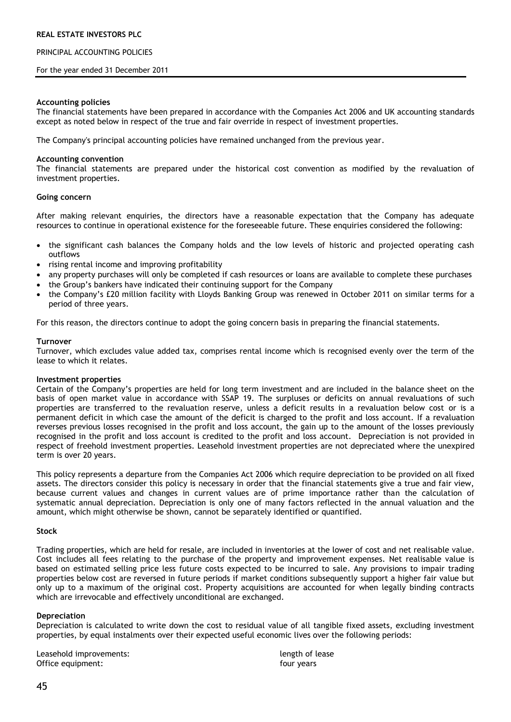#### PRINCIPAL ACCOUNTING POLICIES

#### For the year ended 31 December 2011

#### **Accounting policies**

The financial statements have been prepared in accordance with the Companies Act 2006 and UK accounting standards except as noted below in respect of the true and fair override in respect of investment properties.

The Company's principal accounting policies have remained unchanged from the previous year.

#### **Accounting convention**

The financial statements are prepared under the historical cost convention as modified by the revaluation of investment properties.

#### **Going concern**

After making relevant enquiries, the directors have a reasonable expectation that the Company has adequate resources to continue in operational existence for the foreseeable future. These enquiries considered the following:

- the significant cash balances the Company holds and the low levels of historic and projected operating cash outflows
- rising rental income and improving profitability
- any property purchases will only be completed if cash resources or loans are available to complete these purchases
- the Group's bankers have indicated their continuing support for the Company
- the Company's £20 million facility with Lloyds Banking Group was renewed in October 2011 on similar terms for a period of three years.

For this reason, the directors continue to adopt the going concern basis in preparing the financial statements.

#### **Turnover**

Turnover, which excludes value added tax, comprises rental income which is recognised evenly over the term of the lease to which it relates.

#### **Investment properties**

Certain of the Company's properties are held for long term investment and are included in the balance sheet on the basis of open market value in accordance with SSAP 19. The surpluses or deficits on annual revaluations of such properties are transferred to the revaluation reserve, unless a deficit results in a revaluation below cost or is a permanent deficit in which case the amount of the deficit is charged to the profit and loss account. If a revaluation reverses previous losses recognised in the profit and loss account, the gain up to the amount of the losses previously recognised in the profit and loss account is credited to the profit and loss account. Depreciation is not provided in respect of freehold investment properties. Leasehold investment properties are not depreciated where the unexpired term is over 20 years.

This policy represents a departure from the Companies Act 2006 which require depreciation to be provided on all fixed assets. The directors consider this policy is necessary in order that the financial statements give a true and fair view, because current values and changes in current values are of prime importance rather than the calculation of systematic annual depreciation. Depreciation is only one of many factors reflected in the annual valuation and the amount, which might otherwise be shown, cannot be separately identified or quantified.

#### **Stock**

Trading properties, which are held for resale, are included in inventories at the lower of cost and net realisable value. Cost includes all fees relating to the purchase of the property and improvement expenses. Net realisable value is based on estimated selling price less future costs expected to be incurred to sale. Any provisions to impair trading properties below cost are reversed in future periods if market conditions subsequently support a higher fair value but only up to a maximum of the original cost. Property acquisitions are accounted for when legally binding contracts which are irrevocable and effectively unconditional are exchanged.

#### **Depreciation**

Depreciation is calculated to write down the cost to residual value of all tangible fixed assets, excluding investment properties, by equal instalments over their expected useful economic lives over the following periods:

Leasehold improvements: length of lease length of lease Office equipment: example of the state of the state of the state of the state of the state of the state of the state of the state of the state of the state of the state of the state of the state of the state of the state o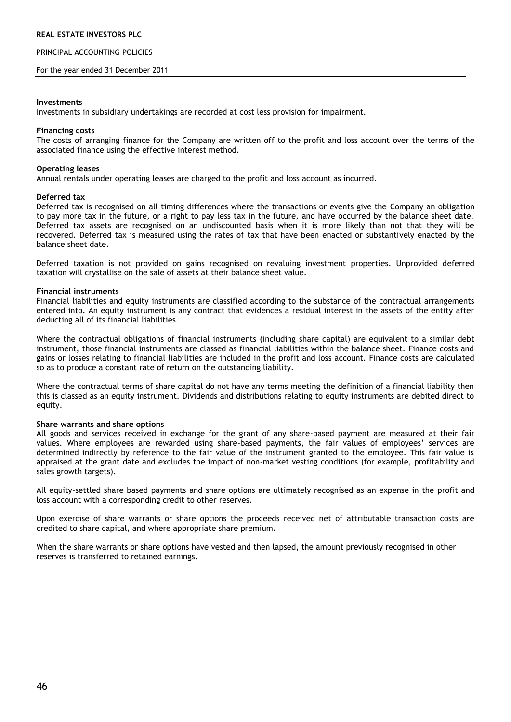#### PRINCIPAL ACCOUNTING POLICIES

#### For the year ended 31 December 2011

#### **Investments**

Investments in subsidiary undertakings are recorded at cost less provision for impairment.

#### **Financing costs**

The costs of arranging finance for the Company are written off to the profit and loss account over the terms of the associated finance using the effective interest method.

#### **Operating leases**

Annual rentals under operating leases are charged to the profit and loss account as incurred.

#### **Deferred tax**

Deferred tax is recognised on all timing differences where the transactions or events give the Company an obligation to pay more tax in the future, or a right to pay less tax in the future, and have occurred by the balance sheet date. Deferred tax assets are recognised on an undiscounted basis when it is more likely than not that they will be recovered. Deferred tax is measured using the rates of tax that have been enacted or substantively enacted by the balance sheet date.

Deferred taxation is not provided on gains recognised on revaluing investment properties. Unprovided deferred taxation will crystallise on the sale of assets at their balance sheet value.

#### **Financial instruments**

Financial liabilities and equity instruments are classified according to the substance of the contractual arrangements entered into. An equity instrument is any contract that evidences a residual interest in the assets of the entity after deducting all of its financial liabilities.

Where the contractual obligations of financial instruments (including share capital) are equivalent to a similar debt instrument, those financial instruments are classed as financial liabilities within the balance sheet. Finance costs and gains or losses relating to financial liabilities are included in the profit and loss account. Finance costs are calculated so as to produce a constant rate of return on the outstanding liability.

Where the contractual terms of share capital do not have any terms meeting the definition of a financial liability then this is classed as an equity instrument. Dividends and distributions relating to equity instruments are debited direct to equity.

#### **Share warrants and share options**

All goods and services received in exchange for the grant of any share-based payment are measured at their fair values. Where employees are rewarded using share-based payments, the fair values of employees' services are determined indirectly by reference to the fair value of the instrument granted to the employee. This fair value is appraised at the grant date and excludes the impact of non-market vesting conditions (for example, profitability and sales growth targets).

All equity-settled share based payments and share options are ultimately recognised as an expense in the profit and loss account with a corresponding credit to other reserves.

Upon exercise of share warrants or share options the proceeds received net of attributable transaction costs are credited to share capital, and where appropriate share premium.

When the share warrants or share options have vested and then lapsed, the amount previously recognised in other reserves is transferred to retained earnings.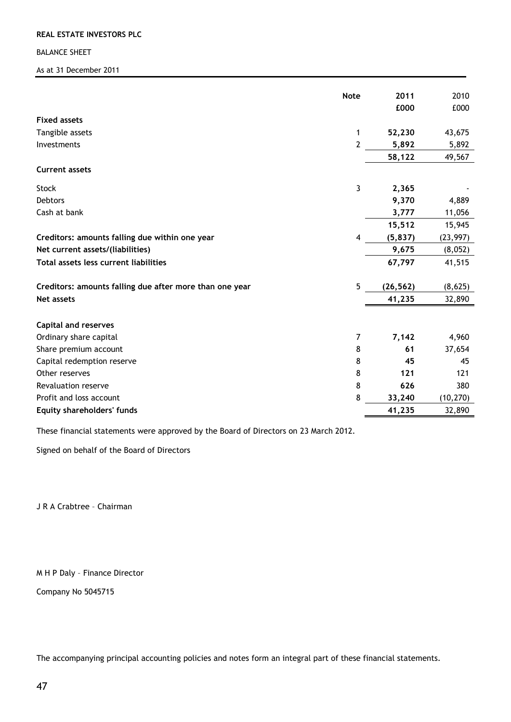BALANCE SHEET

As at 31 December 2011

|                                                         | <b>Note</b> | 2011      | 2010      |
|---------------------------------------------------------|-------------|-----------|-----------|
|                                                         |             | £000      | £000      |
| <b>Fixed assets</b>                                     |             |           |           |
| Tangible assets                                         | 1           | 52,230    | 43,675    |
| Investments                                             | 2           | 5,892     | 5,892     |
|                                                         |             | 58,122    | 49,567    |
| <b>Current assets</b>                                   |             |           |           |
| Stock                                                   | 3           | 2,365     |           |
| <b>Debtors</b>                                          |             | 9,370     | 4,889     |
| Cash at bank                                            |             | 3,777     | 11,056    |
|                                                         |             | 15,512    | 15,945    |
| Creditors: amounts falling due within one year          | 4           | (5, 837)  | (23, 997) |
| Net current assets/(liabilities)                        |             | 9,675     | (8,052)   |
| Total assets less current liabilities                   |             | 67,797    | 41,515    |
| Creditors: amounts falling due after more than one year | 5           | (26, 562) | (8,625)   |
| <b>Net assets</b>                                       |             | 41,235    | 32,890    |
| <b>Capital and reserves</b>                             |             |           |           |
| Ordinary share capital                                  | 7           | 7,142     | 4,960     |
| Share premium account                                   | 8           | 61        | 37,654    |
| Capital redemption reserve                              | 8           | 45        | 45        |
| Other reserves                                          | 8           | 121       | 121       |
| Revaluation reserve                                     | 8           | 626       | 380       |
| Profit and loss account                                 | 8           | 33,240    | (10, 270) |
| <b>Equity shareholders' funds</b>                       |             | 41,235    | 32,890    |
|                                                         |             |           |           |

These financial statements were approved by the Board of Directors on 23 March 2012.

Signed on behalf of the Board of Directors

J R A Crabtree – Chairman

M H P Daly – Finance Director

Company No 5045715

The accompanying principal accounting policies and notes form an integral part of these financial statements.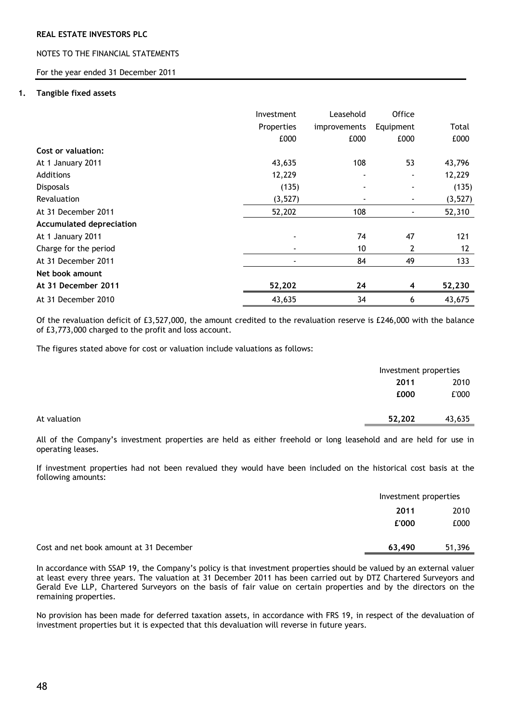# NOTES TO THE FINANCIAL STATEMENTS

# For the year ended 31 December 2011

# **1. Tangible fixed assets**

|                                 | Investment | Leasehold    | Office                   |          |
|---------------------------------|------------|--------------|--------------------------|----------|
|                                 | Properties | improvements | Equipment                | Total    |
|                                 | £000       | £000         | £000                     | £000     |
| Cost or valuation:              |            |              |                          |          |
| At 1 January 2011               | 43,635     | 108          | 53                       | 43,796   |
| Additions                       | 12,229     |              | $\overline{a}$           | 12,229   |
| <b>Disposals</b>                | (135)      |              | $\overline{\phantom{a}}$ | (135)    |
| Revaluation                     | (3, 527)   |              | $\blacksquare$           | (3, 527) |
| At 31 December 2011             | 52,202     | 108          | $\overline{\phantom{a}}$ | 52,310   |
| <b>Accumulated depreciation</b> |            |              |                          |          |
| At 1 January 2011               |            | 74           | 47                       | 121      |
| Charge for the period           |            | 10           | 2                        | 12       |
| At 31 December 2011             |            | 84           | 49                       | 133      |
| Net book amount                 |            |              |                          |          |
| At 31 December 2011             | 52,202     | 24           | 4                        | 52,230   |
| At 31 December 2010             | 43,635     | 34           | 6                        | 43,675   |

Of the revaluation deficit of £3,527,000, the amount credited to the revaluation reserve is £246,000 with the balance of £3,773,000 charged to the profit and loss account.

The figures stated above for cost or valuation include valuations as follows:

|              |        | Investment properties |  |
|--------------|--------|-----------------------|--|
|              | 2011   | 2010                  |  |
|              | £000   | £'000                 |  |
| At valuation | 52,202 | 43,635                |  |
|              |        |                       |  |

All of the Company's investment properties are held as either freehold or long leasehold and are held for use in operating leases.

If investment properties had not been revalued they would have been included on the historical cost basis at the following amounts:

|                                         |        | Investment properties |  |
|-----------------------------------------|--------|-----------------------|--|
|                                         | 2011   | 2010                  |  |
|                                         | £'000  | £000                  |  |
| Cost and net book amount at 31 December | 63,490 | 51,396                |  |

In accordance with SSAP 19, the Company's policy is that investment properties should be valued by an external valuer at least every three years. The valuation at 31 December 2011 has been carried out by DTZ Chartered Surveyors and Gerald Eve LLP, Chartered Surveyors on the basis of fair value on certain properties and by the directors on the remaining properties.

No provision has been made for deferred taxation assets, in accordance with FRS 19, in respect of the devaluation of investment properties but it is expected that this devaluation will reverse in future years.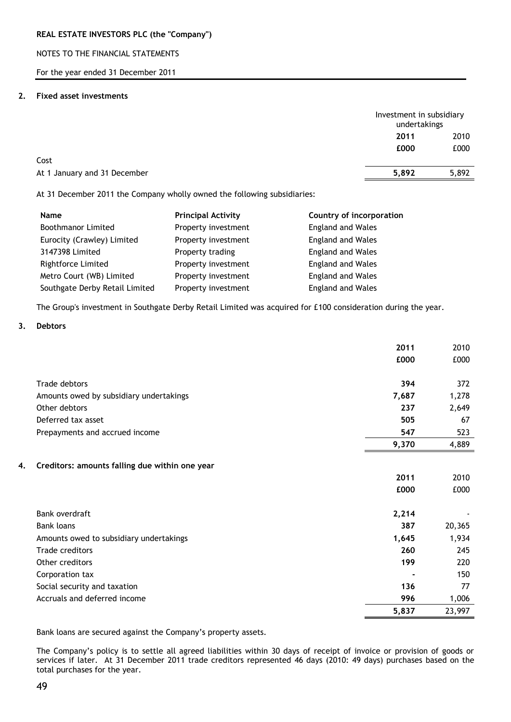# **REAL ESTATE INVESTORS PLC (the "Company")**

# NOTES TO THE FINANCIAL STATEMENTS

# For the year ended 31 December 2011

# **2. Fixed asset investments**

|                              |       | Investment in subsidiary<br>undertakings |  |
|------------------------------|-------|------------------------------------------|--|
|                              | 2011  | 2010                                     |  |
|                              | £000  | £000                                     |  |
| Cost                         |       |                                          |  |
| At 1 January and 31 December | 5,892 | 5,892                                    |  |
|                              |       |                                          |  |

At 31 December 2011 the Company wholly owned the following subsidiaries:

| Name                           | <b>Principal Activity</b> | Country of incorporation |
|--------------------------------|---------------------------|--------------------------|
| <b>Boothmanor Limited</b>      | Property investment       | <b>England and Wales</b> |
| Eurocity (Crawley) Limited     | Property investment       | <b>England and Wales</b> |
| 3147398 Limited                | Property trading          | <b>England and Wales</b> |
| Rightforce Limited             | Property investment       | <b>England and Wales</b> |
| Metro Court (WB) Limited       | Property investment       | <b>England and Wales</b> |
| Southgate Derby Retail Limited | Property investment       | <b>England and Wales</b> |

The Group's investment in Southgate Derby Retail Limited was acquired for £100 consideration during the year.

# **3. Debtors**

|                                                      | 2011  | 2010   |
|------------------------------------------------------|-------|--------|
|                                                      | £000  | £000   |
| Trade debtors                                        | 394   | 372    |
| Amounts owed by subsidiary undertakings              | 7,687 | 1,278  |
| Other debtors                                        | 237   | 2,649  |
| Deferred tax asset                                   | 505   | 67     |
| Prepayments and accrued income                       | 547   | 523    |
|                                                      | 9,370 | 4,889  |
| Creditors: amounts falling due within one year<br>4. |       |        |
|                                                      | 2011  | 2010   |
|                                                      | £000  | £000   |
| Bank overdraft                                       | 2,214 |        |
| <b>Bank loans</b>                                    | 387   | 20,365 |
| Amounts owed to subsidiary undertakings              | 1,645 | 1,934  |
| Trade creditors                                      | 260   | 245    |
| Other creditors                                      | 199   | 220    |
| Corporation tax                                      |       | 150    |
| Social security and taxation                         | 136   | 77     |
| Accruals and deferred income                         | 996   | 1,006  |
|                                                      | 5,837 | 23,997 |

Bank loans are secured against the Company's property assets.

The Company's policy is to settle all agreed liabilities within 30 days of receipt of invoice or provision of goods or services if later. At 31 December 2011 trade creditors represented 46 days (2010: 49 days) purchases based on the total purchases for the year.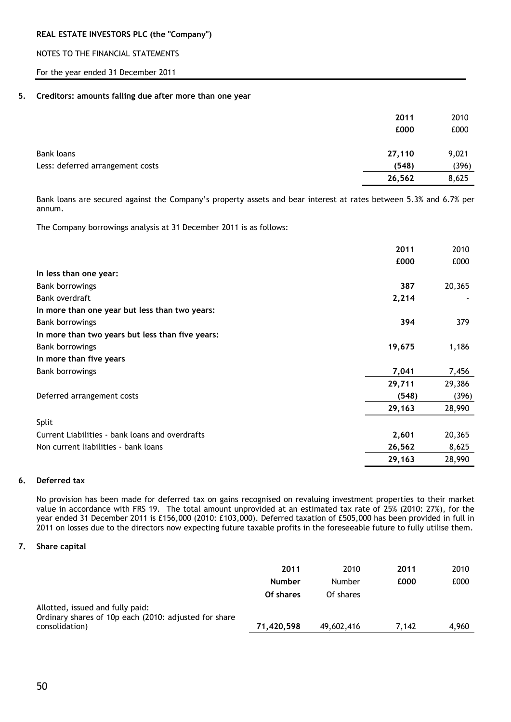# **REAL ESTATE INVESTORS PLC (the "Company")**

NOTES TO THE FINANCIAL STATEMENTS

# For the year ended 31 December 2011

# **5. Creditors: amounts falling due after more than one year**

|                                  | 2011<br>£000 | 2010<br>£000 |
|----------------------------------|--------------|--------------|
| Bank loans                       | 27,110       | 9,021        |
| Less: deferred arrangement costs | (548)        | (396)        |
|                                  | 26,562       | 8,625        |

Bank loans are secured against the Company's property assets and bear interest at rates between 5.3% and 6.7% per annum.

The Company borrowings analysis at 31 December 2011 is as follows:

|                                                  | 2011   | 2010   |
|--------------------------------------------------|--------|--------|
|                                                  | £000   | £000   |
| In less than one year:                           |        |        |
| <b>Bank borrowings</b>                           | 387    | 20,365 |
| Bank overdraft                                   | 2,214  |        |
| In more than one year but less than two years:   |        |        |
| Bank borrowings                                  | 394    | 379    |
| In more than two years but less than five years: |        |        |
| Bank borrowings                                  | 19,675 | 1,186  |
| In more than five years                          |        |        |
| Bank borrowings                                  | 7,041  | 7,456  |
|                                                  | 29,711 | 29,386 |
| Deferred arrangement costs                       | (548)  | (396)  |
|                                                  | 29,163 | 28,990 |
| Split                                            |        |        |
| Current Liabilities - bank loans and overdrafts  | 2,601  | 20,365 |
| Non current liabilities - bank loans             | 26,562 | 8,625  |
|                                                  | 29,163 | 28,990 |
|                                                  |        |        |

# **6. Deferred tax**

No provision has been made for deferred tax on gains recognised on revaluing investment properties to their market value in accordance with FRS 19. The total amount unprovided at an estimated tax rate of 25% (2010: 27%), for the year ended 31 December 2011 is £156,000 (2010: £103,000). Deferred taxation of £505,000 has been provided in full in 2011 on losses due to the directors now expecting future taxable profits in the foreseeable future to fully utilise them.

# **7. Share capital**

|                                                                                                             | 2011          | 2010       | 2011  | 2010  |
|-------------------------------------------------------------------------------------------------------------|---------------|------------|-------|-------|
|                                                                                                             | <b>Number</b> | Number     | £000  | £000  |
|                                                                                                             | Of shares     | Of shares  |       |       |
| Allotted, issued and fully paid:<br>Ordinary shares of 10p each (2010: adjusted for share<br>consolidation) | 71,420,598    | 49,602,416 | 7.142 | 4.960 |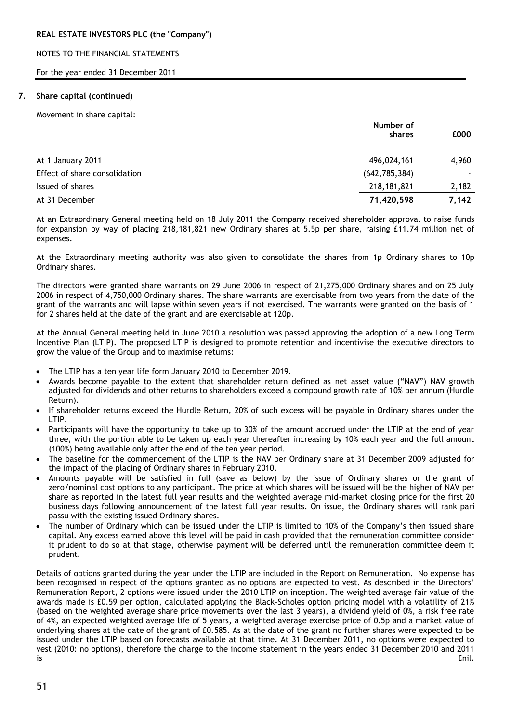# NOTES TO THE FINANCIAL STATEMENTS

For the year ended 31 December 2011

# **7. Share capital (continued)**

| Movement in share capital: |  |  |
|----------------------------|--|--|
|                            |  |  |

|                               | Number of<br>shares | £000           |
|-------------------------------|---------------------|----------------|
| At 1 January 2011             | 496,024,161         | 4,960          |
| Effect of share consolidation | (642, 785, 384)     | $\blacksquare$ |
| Issued of shares              | 218, 181, 821       | 2,182          |
| At 31 December                | 71,420,598          | 7,142          |

At an Extraordinary General meeting held on 18 July 2011 the Company received shareholder approval to raise funds for expansion by way of placing 218,181,821 new Ordinary shares at 5.5p per share, raising £11.74 million net of expenses.

At the Extraordinary meeting authority was also given to consolidate the shares from 1p Ordinary shares to 10p Ordinary shares.

The directors were granted share warrants on 29 June 2006 in respect of 21,275,000 Ordinary shares and on 25 July 2006 in respect of 4,750,000 Ordinary shares. The share warrants are exercisable from two years from the date of the grant of the warrants and will lapse within seven years if not exercised. The warrants were granted on the basis of 1 for 2 shares held at the date of the grant and are exercisable at 120p.

At the Annual General meeting held in June 2010 a resolution was passed approving the adoption of a new Long Term Incentive Plan (LTIP). The proposed LTIP is designed to promote retention and incentivise the executive directors to grow the value of the Group and to maximise returns:

- The LTIP has a ten year life form January 2010 to December 2019.
- Awards become payable to the extent that shareholder return defined as net asset value ("NAV") NAV growth adjusted for dividends and other returns to shareholders exceed a compound growth rate of 10% per annum (Hurdle Return).
- If shareholder returns exceed the Hurdle Return, 20% of such excess will be payable in Ordinary shares under the LTIP.
- Participants will have the opportunity to take up to 30% of the amount accrued under the LTIP at the end of year three, with the portion able to be taken up each year thereafter increasing by 10% each year and the full amount (100%) being available only after the end of the ten year period.
- The baseline for the commencement of the LTIP is the NAV per Ordinary share at 31 December 2009 adjusted for the impact of the placing of Ordinary shares in February 2010.
- Amounts payable will be satisfied in full (save as below) by the issue of Ordinary shares or the grant of zero/nominal cost options to any participant. The price at which shares will be issued will be the higher of NAV per share as reported in the latest full year results and the weighted average mid-market closing price for the first 20 business days following announcement of the latest full year results. On issue, the Ordinary shares will rank pari passu with the existing issued Ordinary shares.
- The number of Ordinary which can be issued under the LTIP is limited to 10% of the Company's then issued share capital. Any excess earned above this level will be paid in cash provided that the remuneration committee consider it prudent to do so at that stage, otherwise payment will be deferred until the remuneration committee deem it prudent.

Details of options granted during the year under the LTIP are included in the Report on Remuneration. No expense has been recognised in respect of the options granted as no options are expected to vest. As described in the Directors' Remuneration Report, 2 options were issued under the 2010 LTIP on inception. The weighted average fair value of the awards made is £0.59 per option, calculated applying the Black-Scholes option pricing model with a volatility of 21% (based on the weighted average share price movements over the last 3 years), a dividend yield of 0%, a risk free rate of 4%, an expected weighted average life of 5 years, a weighted average exercise price of 0.5p and a market value of underlying shares at the date of the grant of £0.585. As at the date of the grant no further shares were expected to be issued under the LTIP based on forecasts available at that time. At 31 December 2011, no options were expected to vest (2010: no options), therefore the charge to the income statement in the years ended 31 December 2010 and 2011 is the contract of the contract of the contract of the contract of the contract of the contract of the contract of the contract of the contract of the contract of the contract of the contract of the contract of the contrac